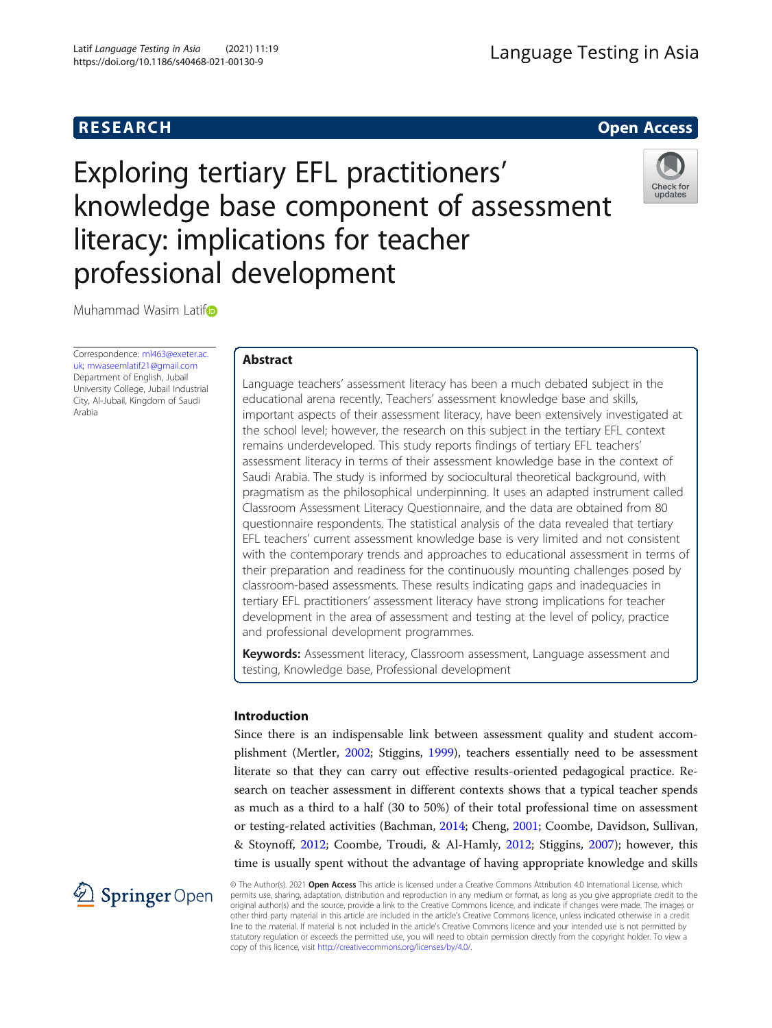

# Exploring tertiary EFL practitioners' knowledge base component of assessment literacy: implications for teacher professional development



Muhammad Wasim Lati[f](http://orcid.org/0000-0002-0234-2237)

Correspondence: [ml463@exeter.ac.](mailto:ml463@exeter.ac.uk) [uk;](mailto:ml463@exeter.ac.uk) [mwaseemlatif21@gmail.com](mailto:mwaseemlatif21@gmail.com) Department of English, Jubail University College, Jubail Industrial City, Al-Jubail, Kingdom of Saudi Arabia

# Abstract

Language teachers' assessment literacy has been a much debated subject in the educational arena recently. Teachers' assessment knowledge base and skills, important aspects of their assessment literacy, have been extensively investigated at the school level; however, the research on this subject in the tertiary EFL context remains underdeveloped. This study reports findings of tertiary EFL teachers' assessment literacy in terms of their assessment knowledge base in the context of Saudi Arabia. The study is informed by sociocultural theoretical background, with pragmatism as the philosophical underpinning. It uses an adapted instrument called Classroom Assessment Literacy Questionnaire, and the data are obtained from 80 questionnaire respondents. The statistical analysis of the data revealed that tertiary EFL teachers' current assessment knowledge base is very limited and not consistent with the contemporary trends and approaches to educational assessment in terms of their preparation and readiness for the continuously mounting challenges posed by classroom-based assessments. These results indicating gaps and inadequacies in tertiary EFL practitioners' assessment literacy have strong implications for teacher development in the area of assessment and testing at the level of policy, practice and professional development programmes.

Keywords: Assessment literacy, Classroom assessment, Language assessment and testing, Knowledge base, Professional development

# Introduction

Since there is an indispensable link between assessment quality and student accomplishment (Mertler, [2002;](#page-20-0) Stiggins, [1999](#page-21-0)), teachers essentially need to be assessment literate so that they can carry out effective results-oriented pedagogical practice. Research on teacher assessment in different contexts shows that a typical teacher spends as much as a third to a half (30 to 50%) of their total professional time on assessment or testing-related activities (Bachman, [2014;](#page-19-0) Cheng, [2001;](#page-19-0) Coombe, Davidson, Sullivan, & Stoynoff, [2012;](#page-19-0) Coombe, Troudi, & Al-Hamly, [2012](#page-19-0); Stiggins, [2007](#page-21-0)); however, this time is usually spent without the advantage of having appropriate knowledge and skills



© The Author(s). 2021 Open Access This article is licensed under a Creative Commons Attribution 4.0 International License, which permits use, sharing, adaptation, distribution and reproduction in any medium or format, as long as you give appropriate credit to the original author(s) and the source, provide a link to the Creative Commons licence, and indicate if changes were made. The images or other third party material in this article are included in the article's Creative Commons licence, unless indicated otherwise in a credit line to the material. If material is not included in the article's Creative Commons licence and your intended use is not permitted by statutory regulation or exceeds the permitted use, you will need to obtain permission directly from the copyright holder. To view a copy of this licence, visit <http://creativecommons.org/licenses/by/4.0/>.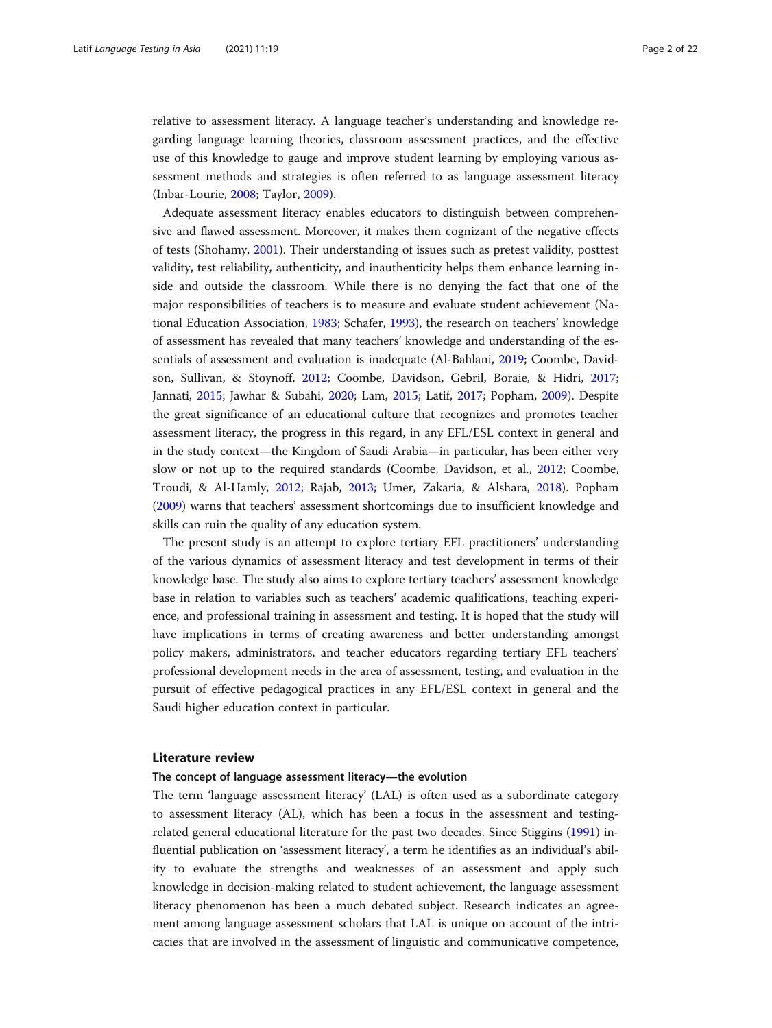relative to assessment literacy. A language teacher's understanding and knowledge regarding language learning theories, classroom assessment practices, and the effective use of this knowledge to gauge and improve student learning by employing various assessment methods and strategies is often referred to as language assessment literacy (Inbar-Lourie, [2008;](#page-20-0) Taylor, [2009](#page-21-0)).

Adequate assessment literacy enables educators to distinguish between comprehensive and flawed assessment. Moreover, it makes them cognizant of the negative effects of tests (Shohamy, [2001](#page-21-0)). Their understanding of issues such as pretest validity, posttest validity, test reliability, authenticity, and inauthenticity helps them enhance learning inside and outside the classroom. While there is no denying the fact that one of the major responsibilities of teachers is to measure and evaluate student achievement (National Education Association, [1983](#page-20-0); Schafer, [1993](#page-21-0)), the research on teachers' knowledge of assessment has revealed that many teachers' knowledge and understanding of the essentials of assessment and evaluation is inadequate (Al-Bahlani, [2019;](#page-18-0) Coombe, Davidson, Sullivan, & Stoynoff, [2012;](#page-19-0) Coombe, Davidson, Gebril, Boraie, & Hidri, [2017](#page-19-0); Jannati, [2015;](#page-20-0) Jawhar & Subahi, [2020](#page-20-0); Lam, [2015;](#page-20-0) Latif, [2017;](#page-20-0) Popham, [2009\)](#page-21-0). Despite the great significance of an educational culture that recognizes and promotes teacher assessment literacy, the progress in this regard, in any EFL/ESL context in general and in the study context—the Kingdom of Saudi Arabia—in particular, has been either very slow or not up to the required standards (Coombe, Davidson, et al., [2012](#page-19-0); Coombe, Troudi, & Al-Hamly, [2012](#page-19-0); Rajab, [2013](#page-21-0); Umer, Zakaria, & Alshara, [2018\)](#page-21-0). Popham ([2009](#page-21-0)) warns that teachers' assessment shortcomings due to insufficient knowledge and skills can ruin the quality of any education system.

The present study is an attempt to explore tertiary EFL practitioners' understanding of the various dynamics of assessment literacy and test development in terms of their knowledge base. The study also aims to explore tertiary teachers' assessment knowledge base in relation to variables such as teachers' academic qualifications, teaching experience, and professional training in assessment and testing. It is hoped that the study will have implications in terms of creating awareness and better understanding amongst policy makers, administrators, and teacher educators regarding tertiary EFL teachers' professional development needs in the area of assessment, testing, and evaluation in the pursuit of effective pedagogical practices in any EFL/ESL context in general and the Saudi higher education context in particular.

# Literature review

#### The concept of language assessment literacy—the evolution

The term 'language assessment literacy' (LAL) is often used as a subordinate category to assessment literacy (AL), which has been a focus in the assessment and testingrelated general educational literature for the past two decades. Since Stiggins [\(1991\)](#page-21-0) influential publication on 'assessment literacy', a term he identifies as an individual's ability to evaluate the strengths and weaknesses of an assessment and apply such knowledge in decision-making related to student achievement, the language assessment literacy phenomenon has been a much debated subject. Research indicates an agreement among language assessment scholars that LAL is unique on account of the intricacies that are involved in the assessment of linguistic and communicative competence,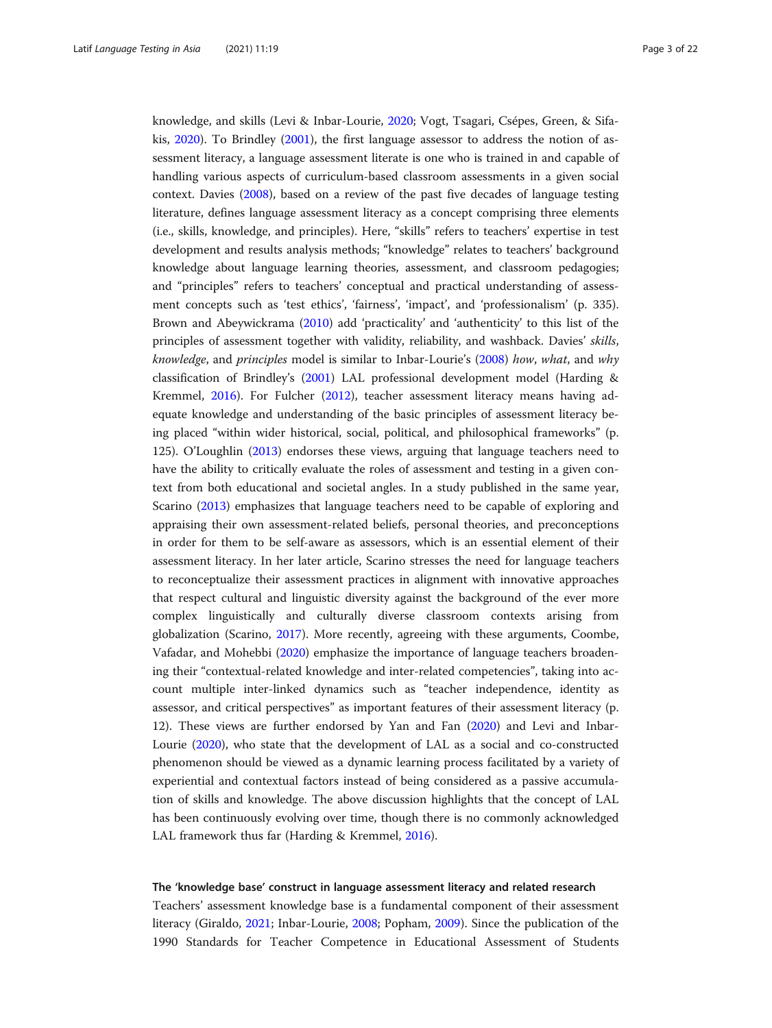knowledge, and skills (Levi & Inbar-Lourie, [2020;](#page-20-0) Vogt, Tsagari, Csépes, Green, & Sifakis, [2020](#page-21-0)). To Brindley ([2001](#page-19-0)), the first language assessor to address the notion of assessment literacy, a language assessment literate is one who is trained in and capable of handling various aspects of curriculum-based classroom assessments in a given social context. Davies ([2008](#page-19-0)), based on a review of the past five decades of language testing literature, defines language assessment literacy as a concept comprising three elements (i.e., skills, knowledge, and principles). Here, "skills" refers to teachers' expertise in test development and results analysis methods; "knowledge" relates to teachers' background knowledge about language learning theories, assessment, and classroom pedagogies; and "principles" refers to teachers' conceptual and practical understanding of assessment concepts such as 'test ethics', 'fairness', 'impact', and 'professionalism' (p. 335). Brown and Abeywickrama [\(2010\)](#page-19-0) add 'practicality' and 'authenticity' to this list of the principles of assessment together with validity, reliability, and washback. Davies' skills, knowledge, and principles model is similar to Inbar-Lourie's ([2008](#page-20-0)) how, what, and why classification of Brindley's ([2001](#page-19-0)) LAL professional development model (Harding & Kremmel, [2016](#page-19-0)). For Fulcher [\(2012\)](#page-19-0), teacher assessment literacy means having adequate knowledge and understanding of the basic principles of assessment literacy being placed "within wider historical, social, political, and philosophical frameworks" (p. 125). O'Loughlin ([2013](#page-20-0)) endorses these views, arguing that language teachers need to have the ability to critically evaluate the roles of assessment and testing in a given context from both educational and societal angles. In a study published in the same year, Scarino ([2013\)](#page-21-0) emphasizes that language teachers need to be capable of exploring and appraising their own assessment-related beliefs, personal theories, and preconceptions in order for them to be self-aware as assessors, which is an essential element of their assessment literacy. In her later article, Scarino stresses the need for language teachers to reconceptualize their assessment practices in alignment with innovative approaches that respect cultural and linguistic diversity against the background of the ever more complex linguistically and culturally diverse classroom contexts arising from globalization (Scarino, [2017\)](#page-21-0). More recently, agreeing with these arguments, Coombe, Vafadar, and Mohebbi [\(2020\)](#page-19-0) emphasize the importance of language teachers broadening their "contextual-related knowledge and inter-related competencies", taking into account multiple inter-linked dynamics such as "teacher independence, identity as assessor, and critical perspectives" as important features of their assessment literacy (p. 12). These views are further endorsed by Yan and Fan [\(2020](#page-21-0)) and Levi and Inbar-Lourie [\(2020\)](#page-20-0), who state that the development of LAL as a social and co-constructed phenomenon should be viewed as a dynamic learning process facilitated by a variety of experiential and contextual factors instead of being considered as a passive accumulation of skills and knowledge. The above discussion highlights that the concept of LAL has been continuously evolving over time, though there is no commonly acknowledged LAL framework thus far (Harding & Kremmel, [2016](#page-19-0)).

#### The 'knowledge base' construct in language assessment literacy and related research

Teachers' assessment knowledge base is a fundamental component of their assessment literacy (Giraldo, [2021](#page-19-0); Inbar-Lourie, [2008](#page-20-0); Popham, [2009](#page-21-0)). Since the publication of the 1990 Standards for Teacher Competence in Educational Assessment of Students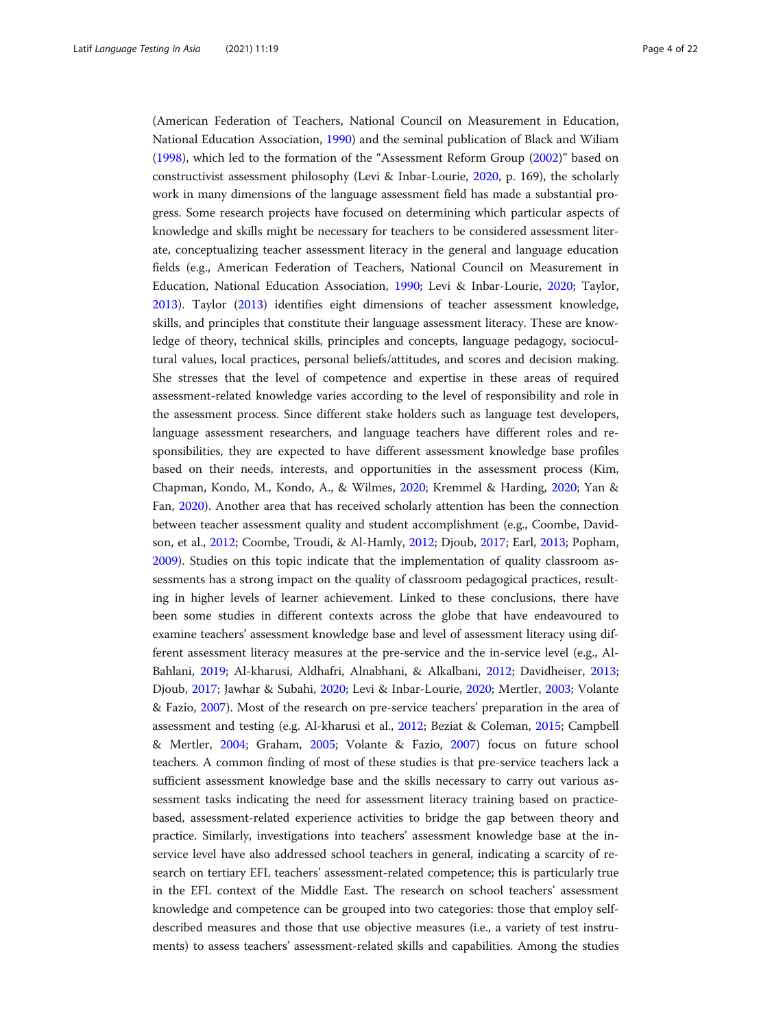(American Federation of Teachers, National Council on Measurement in Education, National Education Association, [1990](#page-19-0)) and the seminal publication of Black and Wiliam ([1998](#page-19-0)), which led to the formation of the "Assessment Reform Group [\(2002](#page-19-0))" based on constructivist assessment philosophy (Levi & Inbar-Lourie, [2020,](#page-20-0) p. 169), the scholarly work in many dimensions of the language assessment field has made a substantial progress. Some research projects have focused on determining which particular aspects of knowledge and skills might be necessary for teachers to be considered assessment literate, conceptualizing teacher assessment literacy in the general and language education fields (e.g., American Federation of Teachers, National Council on Measurement in Education, National Education Association, [1990](#page-19-0); Levi & Inbar-Lourie, [2020](#page-20-0); Taylor, [2013](#page-21-0)). Taylor ([2013](#page-21-0)) identifies eight dimensions of teacher assessment knowledge, skills, and principles that constitute their language assessment literacy. These are knowledge of theory, technical skills, principles and concepts, language pedagogy, sociocultural values, local practices, personal beliefs/attitudes, and scores and decision making. She stresses that the level of competence and expertise in these areas of required assessment-related knowledge varies according to the level of responsibility and role in the assessment process. Since different stake holders such as language test developers, language assessment researchers, and language teachers have different roles and responsibilities, they are expected to have different assessment knowledge base profiles based on their needs, interests, and opportunities in the assessment process (Kim, Chapman, Kondo, M., Kondo, A., & Wilmes, [2020](#page-20-0); Kremmel & Harding, [2020](#page-20-0); Yan & Fan, [2020\)](#page-21-0). Another area that has received scholarly attention has been the connection between teacher assessment quality and student accomplishment (e.g., Coombe, Davidson, et al., [2012;](#page-19-0) Coombe, Troudi, & Al-Hamly, [2012](#page-19-0); Djoub, [2017](#page-19-0); Earl, [2013;](#page-19-0) Popham, [2009](#page-21-0)). Studies on this topic indicate that the implementation of quality classroom assessments has a strong impact on the quality of classroom pedagogical practices, resulting in higher levels of learner achievement. Linked to these conclusions, there have been some studies in different contexts across the globe that have endeavoured to examine teachers' assessment knowledge base and level of assessment literacy using different assessment literacy measures at the pre-service and the in-service level (e.g., Al-Bahlani, [2019](#page-18-0); Al-kharusi, Aldhafri, Alnabhani, & Alkalbani, [2012](#page-19-0); Davidheiser, [2013](#page-19-0); Djoub, [2017;](#page-19-0) Jawhar & Subahi, [2020;](#page-20-0) Levi & Inbar-Lourie, [2020](#page-20-0); Mertler, [2003;](#page-20-0) Volante & Fazio, [2007](#page-21-0)). Most of the research on pre-service teachers' preparation in the area of assessment and testing (e.g. Al-kharusi et al., [2012;](#page-19-0) Beziat & Coleman, [2015](#page-19-0); Campbell & Mertler, [2004;](#page-19-0) Graham, [2005;](#page-19-0) Volante & Fazio, [2007](#page-21-0)) focus on future school teachers. A common finding of most of these studies is that pre-service teachers lack a sufficient assessment knowledge base and the skills necessary to carry out various assessment tasks indicating the need for assessment literacy training based on practicebased, assessment-related experience activities to bridge the gap between theory and practice. Similarly, investigations into teachers' assessment knowledge base at the inservice level have also addressed school teachers in general, indicating a scarcity of research on tertiary EFL teachers' assessment-related competence; this is particularly true in the EFL context of the Middle East. The research on school teachers' assessment knowledge and competence can be grouped into two categories: those that employ selfdescribed measures and those that use objective measures (i.e., a variety of test instruments) to assess teachers' assessment-related skills and capabilities. Among the studies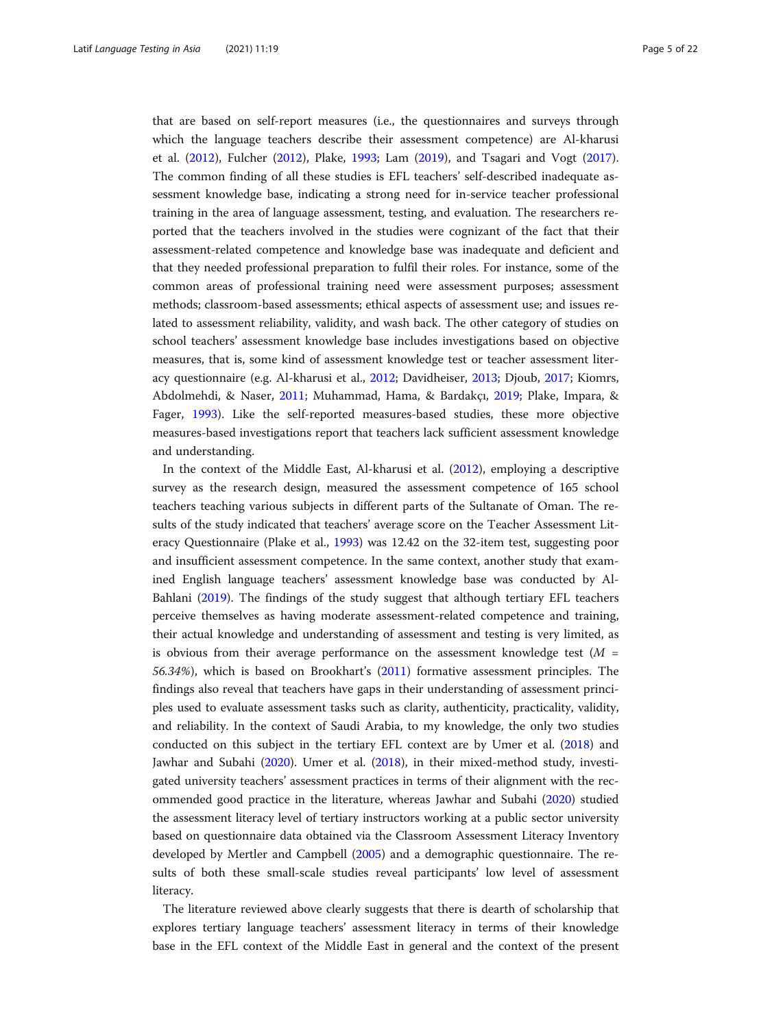that are based on self-report measures (i.e., the questionnaires and surveys through which the language teachers describe their assessment competence) are Al-kharusi et al. [\(2012\)](#page-19-0), Fulcher ([2012](#page-19-0)), Plake, [1993;](#page-20-0) Lam [\(2019\)](#page-20-0), and Tsagari and Vogt ([2017](#page-21-0)). The common finding of all these studies is EFL teachers' self-described inadequate assessment knowledge base, indicating a strong need for in-service teacher professional training in the area of language assessment, testing, and evaluation. The researchers reported that the teachers involved in the studies were cognizant of the fact that their assessment-related competence and knowledge base was inadequate and deficient and that they needed professional preparation to fulfil their roles. For instance, some of the common areas of professional training need were assessment purposes; assessment methods; classroom-based assessments; ethical aspects of assessment use; and issues related to assessment reliability, validity, and wash back. The other category of studies on school teachers' assessment knowledge base includes investigations based on objective measures, that is, some kind of assessment knowledge test or teacher assessment literacy questionnaire (e.g. Al-kharusi et al., [2012](#page-19-0); Davidheiser, [2013;](#page-19-0) Djoub, [2017;](#page-19-0) Kiomrs, Abdolmehdi, & Naser, [2011](#page-20-0); Muhammad, Hama, & Bardakçı, [2019;](#page-20-0) Plake, Impara, & Fager, [1993\)](#page-20-0). Like the self-reported measures-based studies, these more objective measures-based investigations report that teachers lack sufficient assessment knowledge and understanding.

In the context of the Middle East, Al-kharusi et al. ([2012](#page-19-0)), employing a descriptive survey as the research design, measured the assessment competence of 165 school teachers teaching various subjects in different parts of the Sultanate of Oman. The results of the study indicated that teachers' average score on the Teacher Assessment Literacy Questionnaire (Plake et al., [1993](#page-20-0)) was 12.42 on the 32-item test, suggesting poor and insufficient assessment competence. In the same context, another study that examined English language teachers' assessment knowledge base was conducted by Al-Bahlani [\(2019](#page-18-0)). The findings of the study suggest that although tertiary EFL teachers perceive themselves as having moderate assessment-related competence and training, their actual knowledge and understanding of assessment and testing is very limited, as is obvious from their average performance on the assessment knowledge test  $(M =$ 56.34%), which is based on Brookhart's [\(2011\)](#page-19-0) formative assessment principles. The findings also reveal that teachers have gaps in their understanding of assessment principles used to evaluate assessment tasks such as clarity, authenticity, practicality, validity, and reliability. In the context of Saudi Arabia, to my knowledge, the only two studies conducted on this subject in the tertiary EFL context are by Umer et al. ([2018](#page-21-0)) and Jawhar and Subahi [\(2020\)](#page-20-0). Umer et al. ([2018](#page-21-0)), in their mixed-method study, investigated university teachers' assessment practices in terms of their alignment with the recommended good practice in the literature, whereas Jawhar and Subahi [\(2020\)](#page-20-0) studied the assessment literacy level of tertiary instructors working at a public sector university based on questionnaire data obtained via the Classroom Assessment Literacy Inventory developed by Mertler and Campbell ([2005](#page-20-0)) and a demographic questionnaire. The results of both these small-scale studies reveal participants' low level of assessment literacy.

The literature reviewed above clearly suggests that there is dearth of scholarship that explores tertiary language teachers' assessment literacy in terms of their knowledge base in the EFL context of the Middle East in general and the context of the present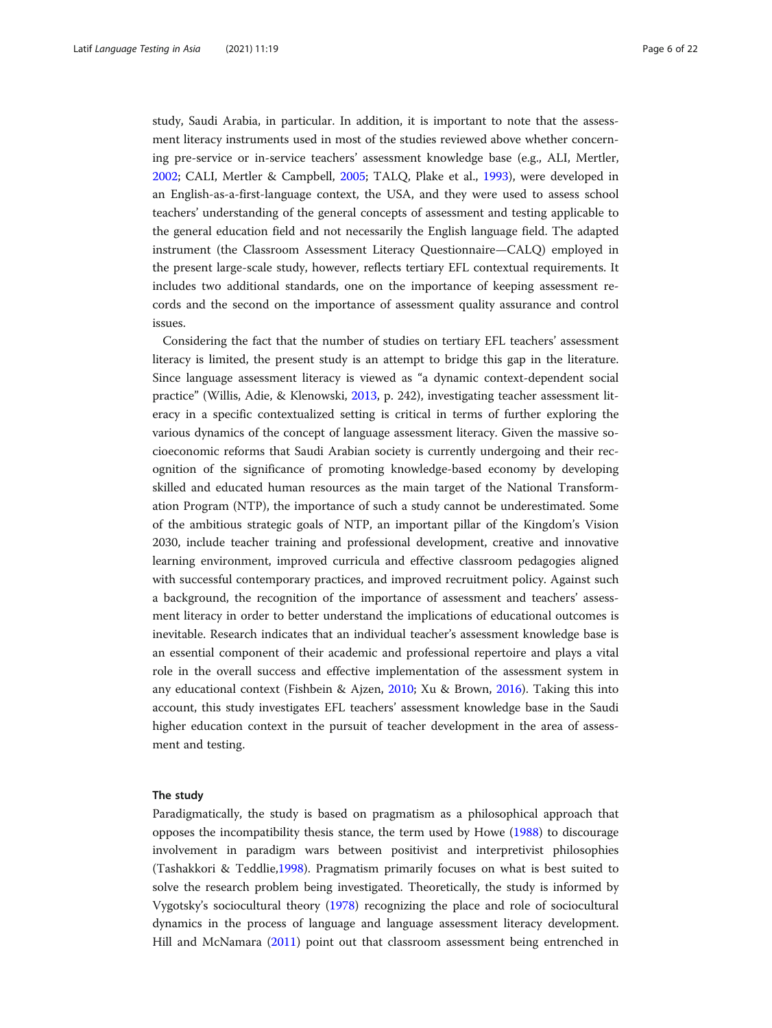study, Saudi Arabia, in particular. In addition, it is important to note that the assessment literacy instruments used in most of the studies reviewed above whether concerning pre-service or in-service teachers' assessment knowledge base (e.g., ALI, Mertler, [2002](#page-20-0); CALI, Mertler & Campbell, [2005](#page-20-0); TALQ, Plake et al., [1993](#page-20-0)), were developed in an English-as-a-first-language context, the USA, and they were used to assess school teachers' understanding of the general concepts of assessment and testing applicable to the general education field and not necessarily the English language field. The adapted instrument (the Classroom Assessment Literacy Questionnaire—CALQ) employed in the present large-scale study, however, reflects tertiary EFL contextual requirements. It includes two additional standards, one on the importance of keeping assessment records and the second on the importance of assessment quality assurance and control issues.

Considering the fact that the number of studies on tertiary EFL teachers' assessment literacy is limited, the present study is an attempt to bridge this gap in the literature. Since language assessment literacy is viewed as "a dynamic context-dependent social practice" (Willis, Adie, & Klenowski, [2013,](#page-21-0) p. 242), investigating teacher assessment literacy in a specific contextualized setting is critical in terms of further exploring the various dynamics of the concept of language assessment literacy. Given the massive socioeconomic reforms that Saudi Arabian society is currently undergoing and their recognition of the significance of promoting knowledge-based economy by developing skilled and educated human resources as the main target of the National Transformation Program (NTP), the importance of such a study cannot be underestimated. Some of the ambitious strategic goals of NTP, an important pillar of the Kingdom's Vision 2030, include teacher training and professional development, creative and innovative learning environment, improved curricula and effective classroom pedagogies aligned with successful contemporary practices, and improved recruitment policy. Against such a background, the recognition of the importance of assessment and teachers' assessment literacy in order to better understand the implications of educational outcomes is inevitable. Research indicates that an individual teacher's assessment knowledge base is an essential component of their academic and professional repertoire and plays a vital role in the overall success and effective implementation of the assessment system in any educational context (Fishbein & Ajzen, [2010](#page-19-0); Xu & Brown, [2016\)](#page-21-0). Taking this into account, this study investigates EFL teachers' assessment knowledge base in the Saudi higher education context in the pursuit of teacher development in the area of assessment and testing.

# The study

Paradigmatically, the study is based on pragmatism as a philosophical approach that opposes the incompatibility thesis stance, the term used by Howe [\(1988\)](#page-20-0) to discourage involvement in paradigm wars between positivist and interpretivist philosophies (Tashakkori & Teddlie,[1998](#page-21-0)). Pragmatism primarily focuses on what is best suited to solve the research problem being investigated. Theoretically, the study is informed by Vygotsky's sociocultural theory [\(1978\)](#page-21-0) recognizing the place and role of sociocultural dynamics in the process of language and language assessment literacy development. Hill and McNamara [\(2011\)](#page-20-0) point out that classroom assessment being entrenched in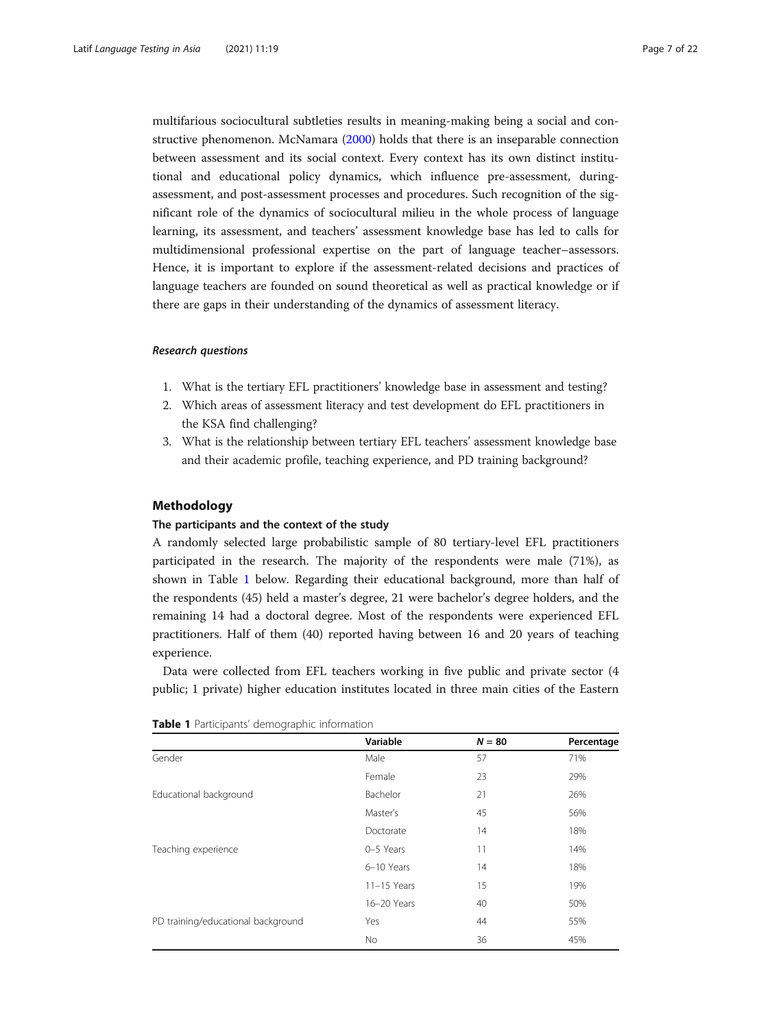multifarious sociocultural subtleties results in meaning-making being a social and constructive phenomenon. McNamara [\(2000\)](#page-20-0) holds that there is an inseparable connection between assessment and its social context. Every context has its own distinct institutional and educational policy dynamics, which influence pre-assessment, duringassessment, and post-assessment processes and procedures. Such recognition of the significant role of the dynamics of sociocultural milieu in the whole process of language learning, its assessment, and teachers' assessment knowledge base has led to calls for multidimensional professional expertise on the part of language teacher–assessors. Hence, it is important to explore if the assessment-related decisions and practices of language teachers are founded on sound theoretical as well as practical knowledge or if there are gaps in their understanding of the dynamics of assessment literacy.

# Research questions

- 1. What is the tertiary EFL practitioners' knowledge base in assessment and testing?
- 2. Which areas of assessment literacy and test development do EFL practitioners in the KSA find challenging?
- 3. What is the relationship between tertiary EFL teachers' assessment knowledge base and their academic profile, teaching experience, and PD training background?

#### Methodology

# The participants and the context of the study

A randomly selected large probabilistic sample of 80 tertiary-level EFL practitioners participated in the research. The majority of the respondents were male (71%), as shown in Table 1 below. Regarding their educational background, more than half of the respondents (45) held a master's degree, 21 were bachelor's degree holders, and the remaining 14 had a doctoral degree. Most of the respondents were experienced EFL practitioners. Half of them (40) reported having between 16 and 20 years of teaching experience.

Data were collected from EFL teachers working in five public and private sector (4 public; 1 private) higher education institutes located in three main cities of the Eastern

|                                    | Variable      | $N = 80$ | Percentage |
|------------------------------------|---------------|----------|------------|
| Gender                             | Male          | 57       | 71%        |
|                                    | Female        | 23       | 29%        |
| Educational background             | Bachelor      | 21       | 26%        |
|                                    | Master's      | 45       | 56%        |
|                                    | Doctorate     | 14       | 18%        |
| Teaching experience                | 0-5 Years     | 11       | 14%        |
|                                    | 6-10 Years    | 14       | 18%        |
|                                    | $11-15$ Years | 15       | 19%        |
|                                    | 16-20 Years   | 40       | 50%        |
| PD training/educational background | Yes           | 44       | 55%        |
|                                    | <b>No</b>     | 36       | 45%        |

| Table 1 Participants' demographic information |  |
|-----------------------------------------------|--|
|-----------------------------------------------|--|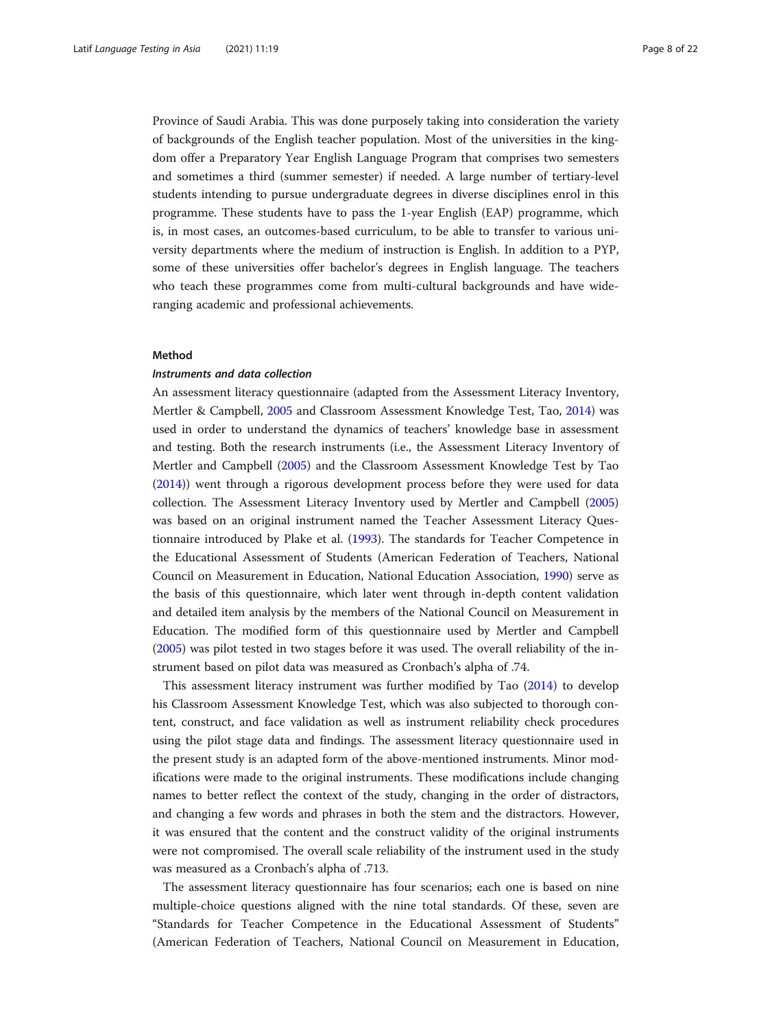Province of Saudi Arabia. This was done purposely taking into consideration the variety of backgrounds of the English teacher population. Most of the universities in the kingdom offer a Preparatory Year English Language Program that comprises two semesters and sometimes a third (summer semester) if needed. A large number of tertiary-level students intending to pursue undergraduate degrees in diverse disciplines enrol in this programme. These students have to pass the 1-year English (EAP) programme, which is, in most cases, an outcomes-based curriculum, to be able to transfer to various university departments where the medium of instruction is English. In addition to a PYP, some of these universities offer bachelor's degrees in English language. The teachers who teach these programmes come from multi-cultural backgrounds and have wideranging academic and professional achievements.

# Method

# Instruments and data collection

An assessment literacy questionnaire (adapted from the Assessment Literacy Inventory, Mertler & Campbell, [2005](#page-20-0) and Classroom Assessment Knowledge Test, Tao, [2014](#page-21-0)) was used in order to understand the dynamics of teachers' knowledge base in assessment and testing. Both the research instruments (i.e., the Assessment Literacy Inventory of Mertler and Campbell [\(2005\)](#page-20-0) and the Classroom Assessment Knowledge Test by Tao ([2014](#page-21-0))) went through a rigorous development process before they were used for data collection. The Assessment Literacy Inventory used by Mertler and Campbell ([2005](#page-20-0)) was based on an original instrument named the Teacher Assessment Literacy Questionnaire introduced by Plake et al. ([1993](#page-20-0)). The standards for Teacher Competence in the Educational Assessment of Students (American Federation of Teachers, National Council on Measurement in Education, National Education Association, [1990\)](#page-19-0) serve as the basis of this questionnaire, which later went through in-depth content validation and detailed item analysis by the members of the National Council on Measurement in Education. The modified form of this questionnaire used by Mertler and Campbell ([2005](#page-20-0)) was pilot tested in two stages before it was used. The overall reliability of the instrument based on pilot data was measured as Cronbach's alpha of .74.

This assessment literacy instrument was further modified by Tao [\(2014\)](#page-21-0) to develop his Classroom Assessment Knowledge Test, which was also subjected to thorough content, construct, and face validation as well as instrument reliability check procedures using the pilot stage data and findings. The assessment literacy questionnaire used in the present study is an adapted form of the above-mentioned instruments. Minor modifications were made to the original instruments. These modifications include changing names to better reflect the context of the study, changing in the order of distractors, and changing a few words and phrases in both the stem and the distractors. However, it was ensured that the content and the construct validity of the original instruments were not compromised. The overall scale reliability of the instrument used in the study was measured as a Cronbach's alpha of .713.

The assessment literacy questionnaire has four scenarios; each one is based on nine multiple-choice questions aligned with the nine total standards. Of these, seven are "Standards for Teacher Competence in the Educational Assessment of Students" (American Federation of Teachers, National Council on Measurement in Education,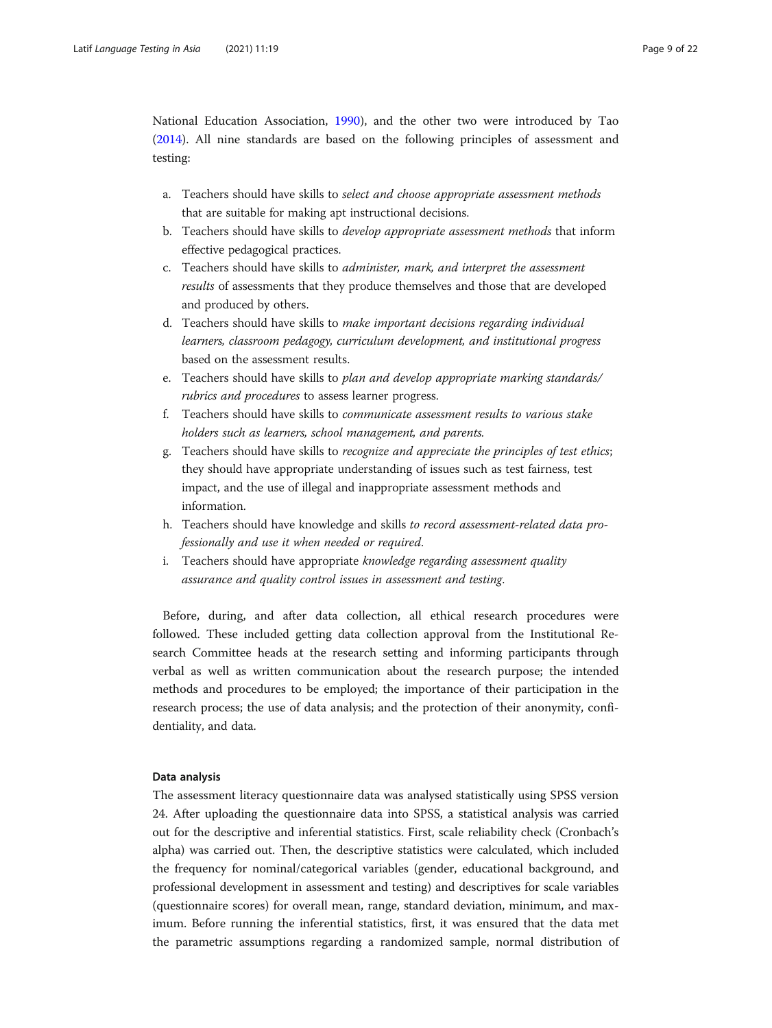National Education Association, [1990\)](#page-19-0), and the other two were introduced by Tao ([2014](#page-21-0)). All nine standards are based on the following principles of assessment and testing:

- a. Teachers should have skills to select and choose appropriate assessment methods that are suitable for making apt instructional decisions.
- b. Teachers should have skills to develop appropriate assessment methods that inform effective pedagogical practices.
- c. Teachers should have skills to administer, mark, and interpret the assessment results of assessments that they produce themselves and those that are developed and produced by others.
- d. Teachers should have skills to make important decisions regarding individual learners, classroom pedagogy, curriculum development, and institutional progress based on the assessment results.
- e. Teachers should have skills to plan and develop appropriate marking standards/ rubrics and procedures to assess learner progress.
- f. Teachers should have skills to communicate assessment results to various stake holders such as learners, school management, and parents.
- g. Teachers should have skills to recognize and appreciate the principles of test ethics; they should have appropriate understanding of issues such as test fairness, test impact, and the use of illegal and inappropriate assessment methods and information.
- h. Teachers should have knowledge and skills to record assessment-related data professionally and use it when needed or required.
- i. Teachers should have appropriate knowledge regarding assessment quality assurance and quality control issues in assessment and testing.

Before, during, and after data collection, all ethical research procedures were followed. These included getting data collection approval from the Institutional Research Committee heads at the research setting and informing participants through verbal as well as written communication about the research purpose; the intended methods and procedures to be employed; the importance of their participation in the research process; the use of data analysis; and the protection of their anonymity, confidentiality, and data.

#### Data analysis

The assessment literacy questionnaire data was analysed statistically using SPSS version 24. After uploading the questionnaire data into SPSS, a statistical analysis was carried out for the descriptive and inferential statistics. First, scale reliability check (Cronbach's alpha) was carried out. Then, the descriptive statistics were calculated, which included the frequency for nominal/categorical variables (gender, educational background, and professional development in assessment and testing) and descriptives for scale variables (questionnaire scores) for overall mean, range, standard deviation, minimum, and maximum. Before running the inferential statistics, first, it was ensured that the data met the parametric assumptions regarding a randomized sample, normal distribution of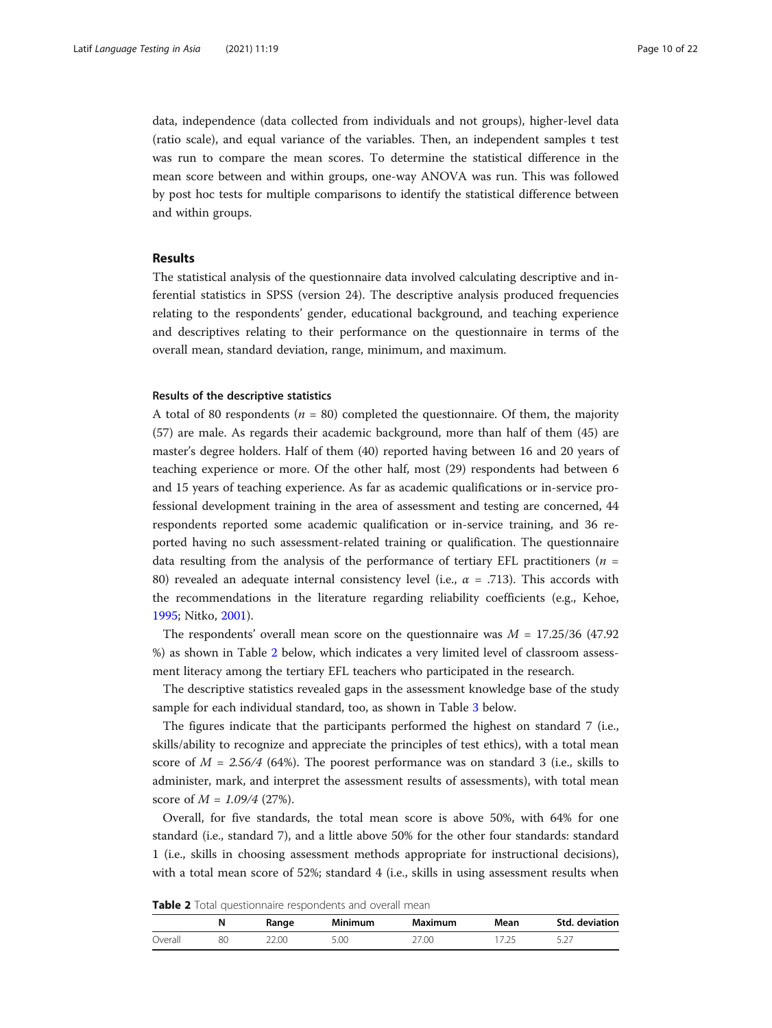data, independence (data collected from individuals and not groups), higher-level data (ratio scale), and equal variance of the variables. Then, an independent samples t test was run to compare the mean scores. To determine the statistical difference in the mean score between and within groups, one-way ANOVA was run. This was followed by post hoc tests for multiple comparisons to identify the statistical difference between and within groups.

# Results

The statistical analysis of the questionnaire data involved calculating descriptive and inferential statistics in SPSS (version 24). The descriptive analysis produced frequencies relating to the respondents' gender, educational background, and teaching experience and descriptives relating to their performance on the questionnaire in terms of the overall mean, standard deviation, range, minimum, and maximum.

#### Results of the descriptive statistics

A total of 80 respondents ( $n = 80$ ) completed the questionnaire. Of them, the majority (57) are male. As regards their academic background, more than half of them (45) are master's degree holders. Half of them (40) reported having between 16 and 20 years of teaching experience or more. Of the other half, most (29) respondents had between 6 and 15 years of teaching experience. As far as academic qualifications or in-service professional development training in the area of assessment and testing are concerned, 44 respondents reported some academic qualification or in-service training, and 36 reported having no such assessment-related training or qualification. The questionnaire data resulting from the analysis of the performance of tertiary EFL practitioners ( $n =$ 80) revealed an adequate internal consistency level (i.e.,  $\alpha$  = .713). This accords with the recommendations in the literature regarding reliability coefficients (e.g., Kehoe, [1995](#page-20-0); Nitko, [2001](#page-20-0)).

The respondents' overall mean score on the questionnaire was  $M = 17.25/36$  (47.92) %) as shown in Table 2 below, which indicates a very limited level of classroom assessment literacy among the tertiary EFL teachers who participated in the research.

The descriptive statistics revealed gaps in the assessment knowledge base of the study sample for each individual standard, too, as shown in Table [3](#page-10-0) below.

The figures indicate that the participants performed the highest on standard 7 (i.e., skills/ability to recognize and appreciate the principles of test ethics), with a total mean score of  $M = 2.56/4$  (64%). The poorest performance was on standard 3 (i.e., skills to administer, mark, and interpret the assessment results of assessments), with total mean score of  $M = 1.09/4$  (27%).

Overall, for five standards, the total mean score is above 50%, with 64% for one standard (i.e., standard 7), and a little above 50% for the other four standards: standard 1 (i.e., skills in choosing assessment methods appropriate for instructional decisions), with a total mean score of 52%; standard 4 (i.e., skills in using assessment results when

| Table 2 Total questionnaire respondents and overall mean |  |
|----------------------------------------------------------|--|
|----------------------------------------------------------|--|

|         | N  | Range | <b>Minimum</b> | Maximum | Mean | Std. deviation |
|---------|----|-------|----------------|---------|------|----------------|
| Overall | 80 | מח י  | 5.00           | 27.00   |      | ، ے. د         |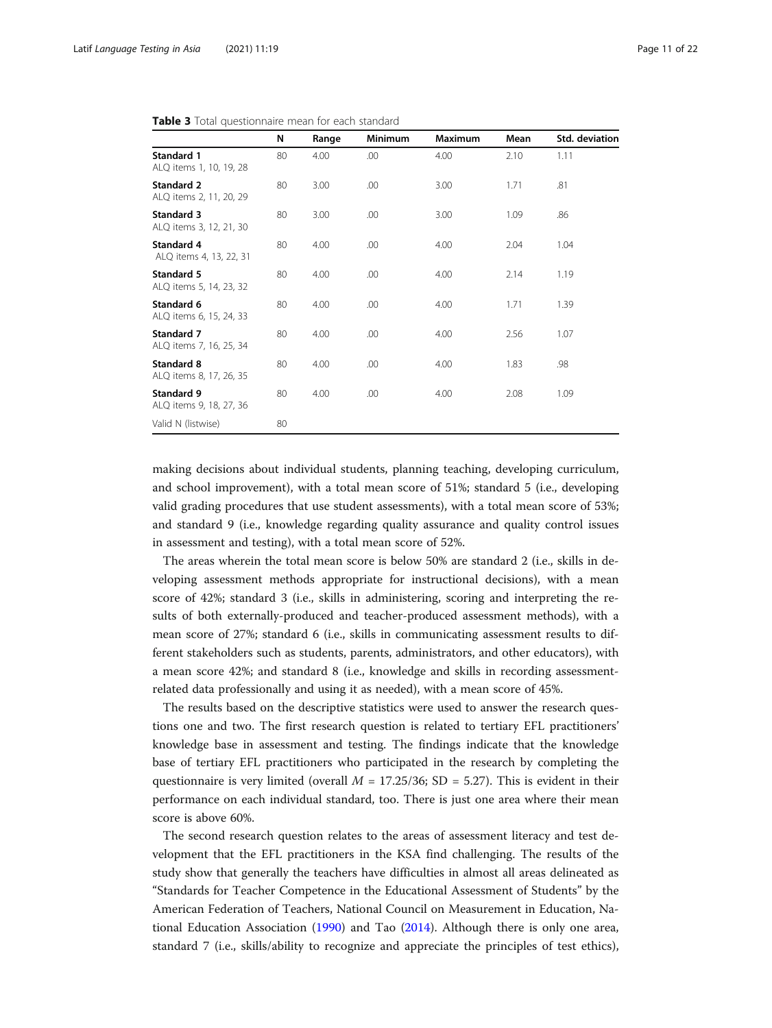|                                              | N  | Range | Minimum | Maximum | Mean | Std. deviation |
|----------------------------------------------|----|-------|---------|---------|------|----------------|
| <b>Standard 1</b><br>ALQ items 1, 10, 19, 28 | 80 | 4.00  | .00     | 4.00    | 2.10 | 1.11           |
| <b>Standard 2</b><br>ALQ items 2, 11, 20, 29 | 80 | 3.00  | .00     | 3.00    | 1.71 | .81            |
| Standard 3<br>ALQ items 3, 12, 21, 30        | 80 | 3.00  | .00     | 3.00    | 1.09 | .86            |
| <b>Standard 4</b><br>ALQ items 4, 13, 22, 31 | 80 | 4.00  | .00     | 4.00    | 2.04 | 1.04           |
| Standard 5<br>ALQ items 5, 14, 23, 32        | 80 | 4.00  | .00     | 4.00    | 2.14 | 1.19           |
| Standard 6<br>ALQ items 6, 15, 24, 33        | 80 | 4.00  | .00     | 4.00    | 1.71 | 1.39           |
| Standard 7<br>ALQ items 7, 16, 25, 34        | 80 | 4.00  | .00     | 4.00    | 2.56 | 1.07           |
| Standard 8<br>ALQ items 8, 17, 26, 35        | 80 | 4.00  | .00     | 4.00    | 1.83 | .98            |
| Standard 9<br>ALQ items 9, 18, 27, 36        | 80 | 4.00  | .00     | 4.00    | 2.08 | 1.09           |
| Valid N (listwise)                           | 80 |       |         |         |      |                |

<span id="page-10-0"></span>Table 3 Total questionnaire mean for each standard

making decisions about individual students, planning teaching, developing curriculum, and school improvement), with a total mean score of 51%; standard 5 (i.e., developing valid grading procedures that use student assessments), with a total mean score of 53%; and standard 9 (i.e., knowledge regarding quality assurance and quality control issues in assessment and testing), with a total mean score of 52%.

The areas wherein the total mean score is below 50% are standard 2 (i.e., skills in developing assessment methods appropriate for instructional decisions), with a mean score of 42%; standard 3 (i.e., skills in administering, scoring and interpreting the results of both externally-produced and teacher-produced assessment methods), with a mean score of 27%; standard 6 (i.e., skills in communicating assessment results to different stakeholders such as students, parents, administrators, and other educators), with a mean score 42%; and standard 8 (i.e., knowledge and skills in recording assessmentrelated data professionally and using it as needed), with a mean score of 45%.

The results based on the descriptive statistics were used to answer the research questions one and two. The first research question is related to tertiary EFL practitioners' knowledge base in assessment and testing. The findings indicate that the knowledge base of tertiary EFL practitioners who participated in the research by completing the questionnaire is very limited (overall  $M = 17.25/36$ ; SD = 5.27). This is evident in their performance on each individual standard, too. There is just one area where their mean score is above 60%.

The second research question relates to the areas of assessment literacy and test development that the EFL practitioners in the KSA find challenging. The results of the study show that generally the teachers have difficulties in almost all areas delineated as "Standards for Teacher Competence in the Educational Assessment of Students" by the American Federation of Teachers, National Council on Measurement in Education, National Education Association ([1990\)](#page-19-0) and Tao [\(2014](#page-21-0)). Although there is only one area, standard 7 (i.e., skills/ability to recognize and appreciate the principles of test ethics),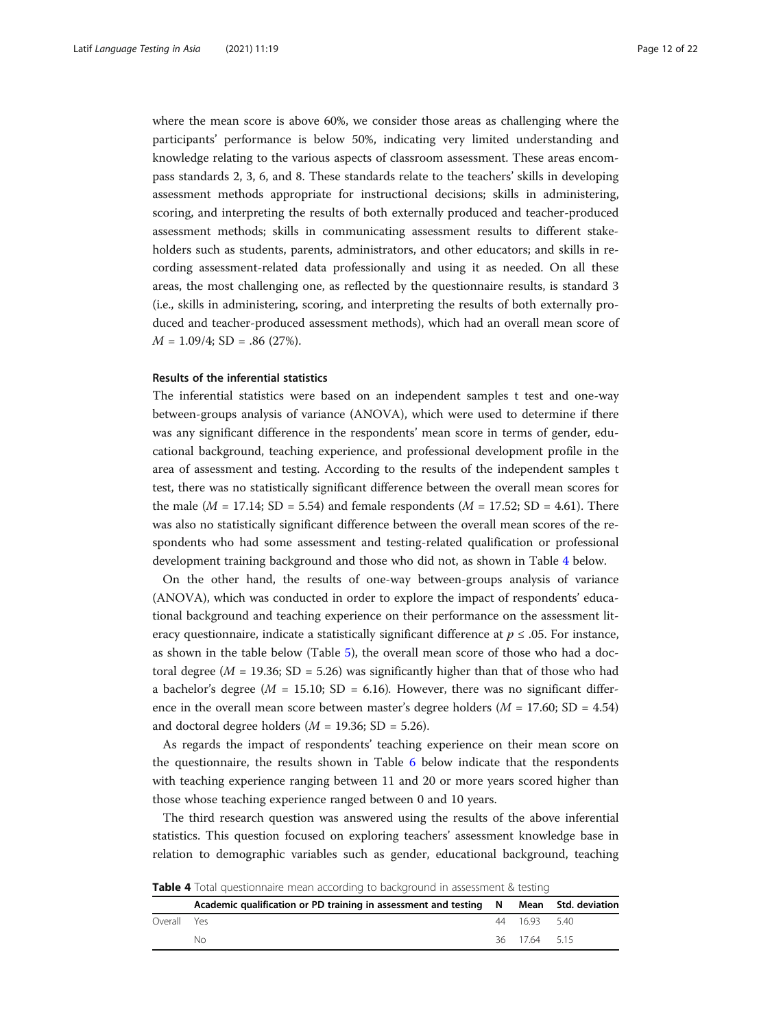where the mean score is above 60%, we consider those areas as challenging where the participants' performance is below 50%, indicating very limited understanding and knowledge relating to the various aspects of classroom assessment. These areas encompass standards 2, 3, 6, and 8. These standards relate to the teachers' skills in developing assessment methods appropriate for instructional decisions; skills in administering, scoring, and interpreting the results of both externally produced and teacher-produced assessment methods; skills in communicating assessment results to different stakeholders such as students, parents, administrators, and other educators; and skills in recording assessment-related data professionally and using it as needed. On all these areas, the most challenging one, as reflected by the questionnaire results, is standard 3 (i.e., skills in administering, scoring, and interpreting the results of both externally produced and teacher-produced assessment methods), which had an overall mean score of  $M = 1.09/4$ ; SD = .86 (27%).

#### Results of the inferential statistics

The inferential statistics were based on an independent samples t test and one-way between-groups analysis of variance (ANOVA), which were used to determine if there was any significant difference in the respondents' mean score in terms of gender, educational background, teaching experience, and professional development profile in the area of assessment and testing. According to the results of the independent samples t test, there was no statistically significant difference between the overall mean scores for the male ( $M = 17.14$ ; SD = 5.54) and female respondents ( $M = 17.52$ ; SD = 4.61). There was also no statistically significant difference between the overall mean scores of the respondents who had some assessment and testing-related qualification or professional development training background and those who did not, as shown in Table 4 below.

On the other hand, the results of one-way between-groups analysis of variance (ANOVA), which was conducted in order to explore the impact of respondents' educational background and teaching experience on their performance on the assessment literacy questionnaire, indicate a statistically significant difference at  $p \leq .05$ . For instance, as shown in the table below (Table [5\)](#page-12-0), the overall mean score of those who had a doctoral degree ( $M = 19.36$ ; SD = 5.26) was significantly higher than that of those who had a bachelor's degree ( $M = 15.10$ ; SD = 6.16). However, there was no significant difference in the overall mean score between master's degree holders ( $M = 17.60$ ; SD = 4.54) and doctoral degree holders  $(M = 19.36; SD = 5.26)$ .

As regards the impact of respondents' teaching experience on their mean score on the questionnaire, the results shown in Table [6](#page-12-0) below indicate that the respondents with teaching experience ranging between 11 and 20 or more years scored higher than those whose teaching experience ranged between 0 and 10 years.

The third research question was answered using the results of the above inferential statistics. This question focused on exploring teachers' assessment knowledge base in relation to demographic variables such as gender, educational background, teaching

|             | Academic qualification or PD training in assessment and testing N Mean Std. deviation |             |  |
|-------------|---------------------------------------------------------------------------------------|-------------|--|
| Overall Yes |                                                                                       | 44 1693 540 |  |
|             | No.                                                                                   | 36 1764 515 |  |

**Table 4** Total questionnaire mean according to background in assessment & testing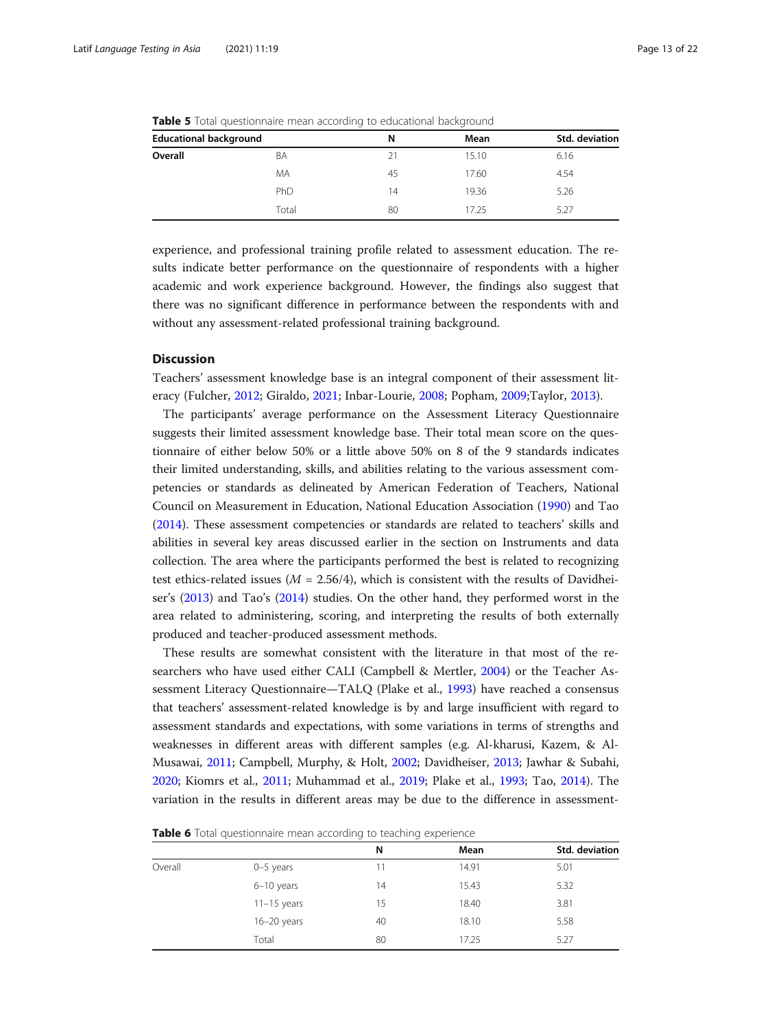|                               |       | $\tilde{}$ | $\tilde{\phantom{a}}$ |                |  |
|-------------------------------|-------|------------|-----------------------|----------------|--|
| <b>Educational background</b> |       | N          | Mean                  | Std. deviation |  |
| Overall                       | BA    | 21         | 15.10                 | 6.16           |  |
|                               | MA    | 45         | 17.60                 | 4.54           |  |
|                               | PhD   | 14         | 19.36                 | 5.26           |  |
|                               | Total | 80         | 17.25                 | 5.27           |  |

<span id="page-12-0"></span>**Table 5** Total questionnaire mean according to educational background

experience, and professional training profile related to assessment education. The results indicate better performance on the questionnaire of respondents with a higher academic and work experience background. However, the findings also suggest that there was no significant difference in performance between the respondents with and without any assessment-related professional training background.

#### **Discussion**

Teachers' assessment knowledge base is an integral component of their assessment literacy (Fulcher, [2012;](#page-19-0) Giraldo, [2021](#page-19-0); Inbar-Lourie, [2008;](#page-20-0) Popham, [2009;](#page-21-0)Taylor, [2013](#page-21-0)).

The participants' average performance on the Assessment Literacy Questionnaire suggests their limited assessment knowledge base. Their total mean score on the questionnaire of either below 50% or a little above 50% on 8 of the 9 standards indicates their limited understanding, skills, and abilities relating to the various assessment competencies or standards as delineated by American Federation of Teachers, National Council on Measurement in Education, National Education Association ([1990](#page-19-0)) and Tao ([2014](#page-21-0)). These assessment competencies or standards are related to teachers' skills and abilities in several key areas discussed earlier in the section on Instruments and data collection. The area where the participants performed the best is related to recognizing test ethics-related issues ( $M = 2.56/4$ ), which is consistent with the results of Davidheiser's ([2013\)](#page-19-0) and Tao's [\(2014\)](#page-21-0) studies. On the other hand, they performed worst in the area related to administering, scoring, and interpreting the results of both externally produced and teacher-produced assessment methods.

These results are somewhat consistent with the literature in that most of the researchers who have used either CALI (Campbell & Mertler, [2004\)](#page-19-0) or the Teacher Assessment Literacy Questionnaire—TALQ (Plake et al., [1993\)](#page-20-0) have reached a consensus that teachers' assessment-related knowledge is by and large insufficient with regard to assessment standards and expectations, with some variations in terms of strengths and weaknesses in different areas with different samples (e.g. Al-kharusi, Kazem, & Al-Musawai, [2011](#page-19-0); Campbell, Murphy, & Holt, [2002;](#page-19-0) Davidheiser, [2013;](#page-19-0) Jawhar & Subahi, [2020](#page-20-0); Kiomrs et al., [2011](#page-20-0); Muhammad et al., [2019;](#page-20-0) Plake et al., [1993](#page-20-0); Tao, [2014](#page-21-0)). The variation in the results in different areas may be due to the difference in assessment-

**Table 6** Total questionnaire mean according to teaching experience

|         |                 | N  | Mean  | Std. deviation |
|---------|-----------------|----|-------|----------------|
| Overall | $0-5$ years     |    | 14.91 | 5.01           |
|         | $6-10$ years    | 14 | 15.43 | 5.32           |
|         | $11-15$ years   | 15 | 18.40 | 3.81           |
|         | $16 - 20$ years | 40 | 18.10 | 5.58           |
|         | Total           | 80 | 17.25 | 5.27           |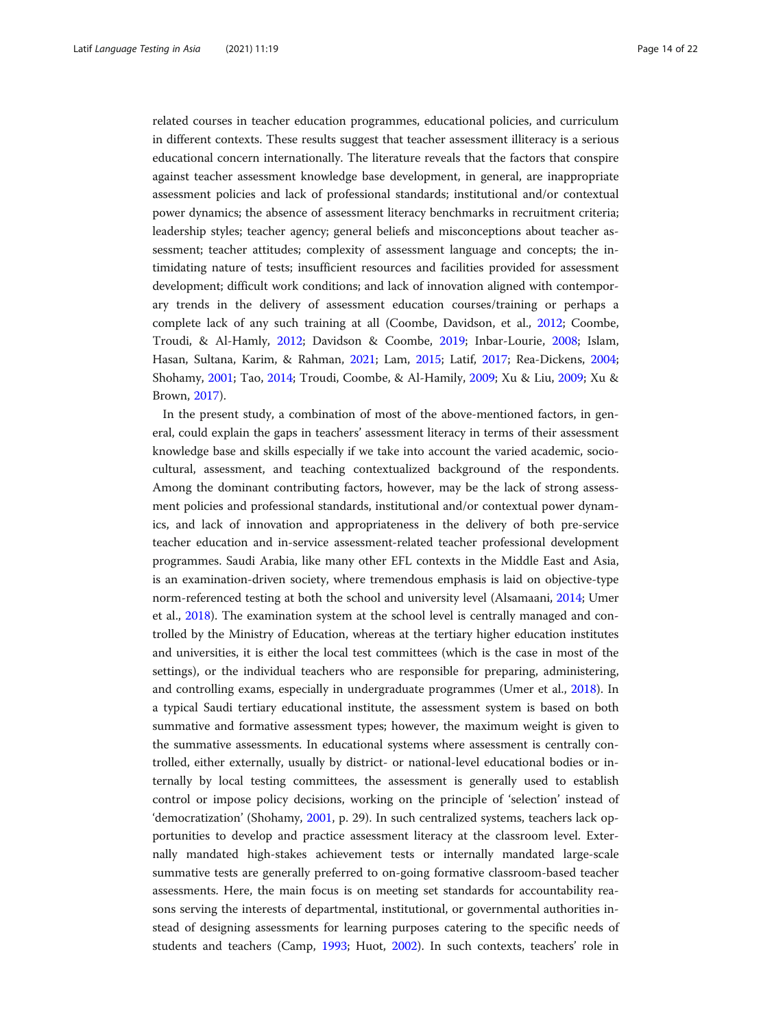related courses in teacher education programmes, educational policies, and curriculum in different contexts. These results suggest that teacher assessment illiteracy is a serious educational concern internationally. The literature reveals that the factors that conspire against teacher assessment knowledge base development, in general, are inappropriate assessment policies and lack of professional standards; institutional and/or contextual power dynamics; the absence of assessment literacy benchmarks in recruitment criteria; leadership styles; teacher agency; general beliefs and misconceptions about teacher assessment; teacher attitudes; complexity of assessment language and concepts; the intimidating nature of tests; insufficient resources and facilities provided for assessment development; difficult work conditions; and lack of innovation aligned with contemporary trends in the delivery of assessment education courses/training or perhaps a complete lack of any such training at all (Coombe, Davidson, et al., [2012](#page-19-0); Coombe, Troudi, & Al-Hamly, [2012;](#page-19-0) Davidson & Coombe, [2019;](#page-19-0) Inbar-Lourie, [2008;](#page-20-0) Islam, Hasan, Sultana, Karim, & Rahman, [2021;](#page-20-0) Lam, [2015;](#page-20-0) Latif, [2017;](#page-20-0) Rea-Dickens, [2004](#page-21-0); Shohamy, [2001](#page-21-0); Tao, [2014](#page-21-0); Troudi, Coombe, & Al-Hamily, [2009;](#page-21-0) Xu & Liu, [2009](#page-21-0); Xu & Brown, [2017](#page-21-0)).

In the present study, a combination of most of the above-mentioned factors, in general, could explain the gaps in teachers' assessment literacy in terms of their assessment knowledge base and skills especially if we take into account the varied academic, sociocultural, assessment, and teaching contextualized background of the respondents. Among the dominant contributing factors, however, may be the lack of strong assessment policies and professional standards, institutional and/or contextual power dynamics, and lack of innovation and appropriateness in the delivery of both pre-service teacher education and in-service assessment-related teacher professional development programmes. Saudi Arabia, like many other EFL contexts in the Middle East and Asia, is an examination-driven society, where tremendous emphasis is laid on objective-type norm-referenced testing at both the school and university level (Alsamaani, [2014](#page-19-0); Umer et al., [2018\)](#page-21-0). The examination system at the school level is centrally managed and controlled by the Ministry of Education, whereas at the tertiary higher education institutes and universities, it is either the local test committees (which is the case in most of the settings), or the individual teachers who are responsible for preparing, administering, and controlling exams, especially in undergraduate programmes (Umer et al., [2018](#page-21-0)). In a typical Saudi tertiary educational institute, the assessment system is based on both summative and formative assessment types; however, the maximum weight is given to the summative assessments. In educational systems where assessment is centrally controlled, either externally, usually by district- or national-level educational bodies or internally by local testing committees, the assessment is generally used to establish control or impose policy decisions, working on the principle of 'selection' instead of 'democratization' (Shohamy, [2001](#page-21-0), p. 29). In such centralized systems, teachers lack opportunities to develop and practice assessment literacy at the classroom level. Externally mandated high-stakes achievement tests or internally mandated large-scale summative tests are generally preferred to on-going formative classroom-based teacher assessments. Here, the main focus is on meeting set standards for accountability reasons serving the interests of departmental, institutional, or governmental authorities instead of designing assessments for learning purposes catering to the specific needs of students and teachers (Camp, [1993;](#page-19-0) Huot, [2002](#page-20-0)). In such contexts, teachers' role in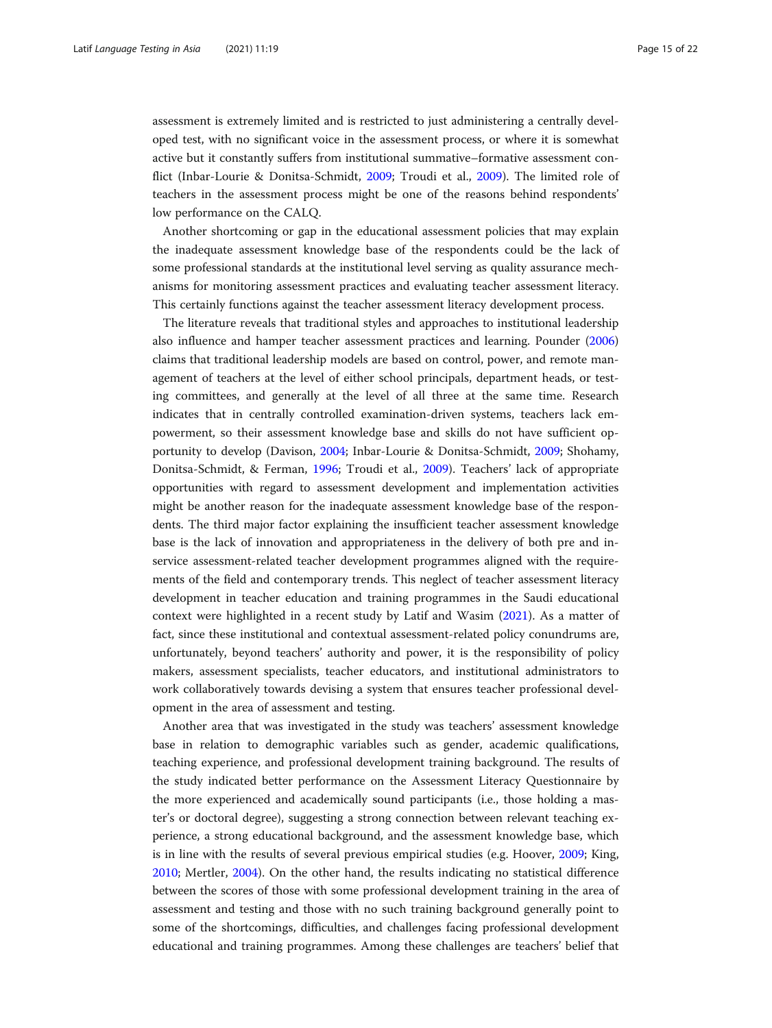assessment is extremely limited and is restricted to just administering a centrally developed test, with no significant voice in the assessment process, or where it is somewhat active but it constantly suffers from institutional summative–formative assessment conflict (Inbar-Lourie & Donitsa-Schmidt, [2009](#page-20-0); Troudi et al., [2009\)](#page-21-0). The limited role of teachers in the assessment process might be one of the reasons behind respondents' low performance on the CALQ.

Another shortcoming or gap in the educational assessment policies that may explain the inadequate assessment knowledge base of the respondents could be the lack of some professional standards at the institutional level serving as quality assurance mechanisms for monitoring assessment practices and evaluating teacher assessment literacy. This certainly functions against the teacher assessment literacy development process.

The literature reveals that traditional styles and approaches to institutional leadership also influence and hamper teacher assessment practices and learning. Pounder ([2006](#page-21-0)) claims that traditional leadership models are based on control, power, and remote management of teachers at the level of either school principals, department heads, or testing committees, and generally at the level of all three at the same time. Research indicates that in centrally controlled examination-driven systems, teachers lack empowerment, so their assessment knowledge base and skills do not have sufficient opportunity to develop (Davison, [2004;](#page-19-0) Inbar-Lourie & Donitsa-Schmidt, [2009](#page-20-0); Shohamy, Donitsa-Schmidt, & Ferman, [1996](#page-21-0); Troudi et al., [2009](#page-21-0)). Teachers' lack of appropriate opportunities with regard to assessment development and implementation activities might be another reason for the inadequate assessment knowledge base of the respondents. The third major factor explaining the insufficient teacher assessment knowledge base is the lack of innovation and appropriateness in the delivery of both pre and inservice assessment-related teacher development programmes aligned with the requirements of the field and contemporary trends. This neglect of teacher assessment literacy development in teacher education and training programmes in the Saudi educational context were highlighted in a recent study by Latif and Wasim ([2021\)](#page-20-0). As a matter of fact, since these institutional and contextual assessment-related policy conundrums are, unfortunately, beyond teachers' authority and power, it is the responsibility of policy makers, assessment specialists, teacher educators, and institutional administrators to work collaboratively towards devising a system that ensures teacher professional development in the area of assessment and testing.

Another area that was investigated in the study was teachers' assessment knowledge base in relation to demographic variables such as gender, academic qualifications, teaching experience, and professional development training background. The results of the study indicated better performance on the Assessment Literacy Questionnaire by the more experienced and academically sound participants (i.e., those holding a master's or doctoral degree), suggesting a strong connection between relevant teaching experience, a strong educational background, and the assessment knowledge base, which is in line with the results of several previous empirical studies (e.g. Hoover, [2009;](#page-20-0) King, [2010](#page-20-0); Mertler, [2004](#page-20-0)). On the other hand, the results indicating no statistical difference between the scores of those with some professional development training in the area of assessment and testing and those with no such training background generally point to some of the shortcomings, difficulties, and challenges facing professional development educational and training programmes. Among these challenges are teachers' belief that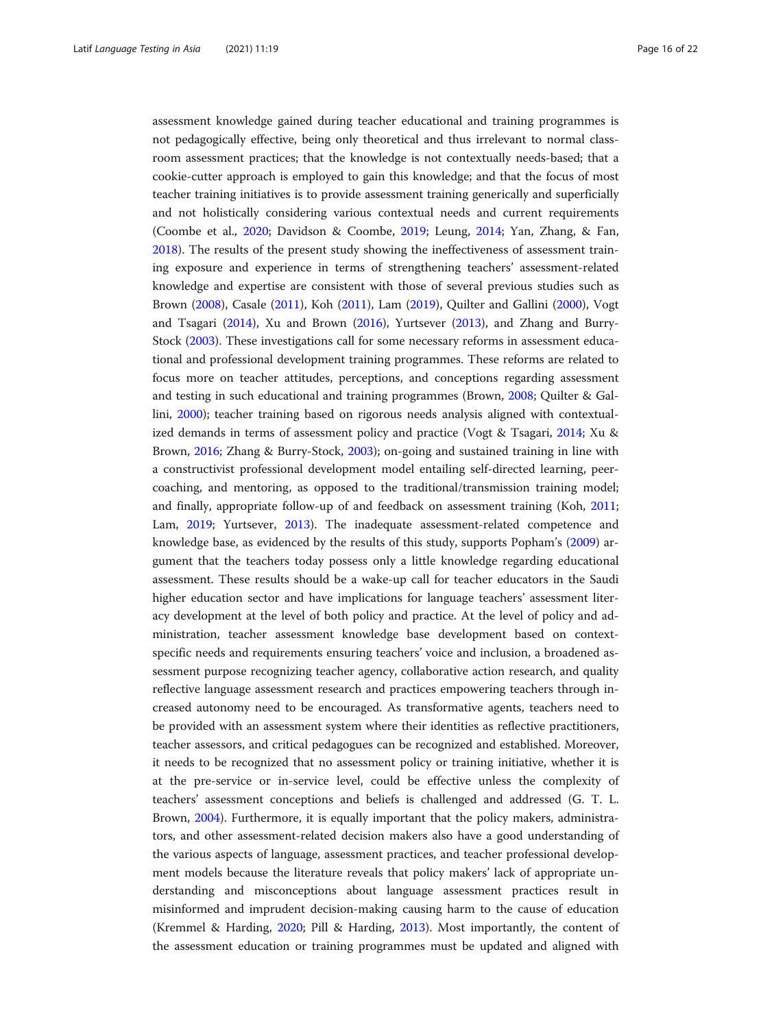assessment knowledge gained during teacher educational and training programmes is not pedagogically effective, being only theoretical and thus irrelevant to normal classroom assessment practices; that the knowledge is not contextually needs-based; that a cookie-cutter approach is employed to gain this knowledge; and that the focus of most teacher training initiatives is to provide assessment training generically and superficially and not holistically considering various contextual needs and current requirements (Coombe et al., [2020](#page-19-0); Davidson & Coombe, [2019;](#page-19-0) Leung, [2014](#page-20-0); Yan, Zhang, & Fan, [2018](#page-21-0)). The results of the present study showing the ineffectiveness of assessment training exposure and experience in terms of strengthening teachers' assessment-related knowledge and expertise are consistent with those of several previous studies such as Brown [\(2008\)](#page-19-0), Casale ([2011\)](#page-19-0), Koh ([2011](#page-20-0)), Lam ([2019](#page-20-0)), Quilter and Gallini ([2000](#page-21-0)), Vogt and Tsagari [\(2014\)](#page-21-0), Xu and Brown [\(2016](#page-21-0)), Yurtsever ([2013](#page-21-0)), and Zhang and Burry-Stock [\(2003\)](#page-21-0). These investigations call for some necessary reforms in assessment educational and professional development training programmes. These reforms are related to focus more on teacher attitudes, perceptions, and conceptions regarding assessment and testing in such educational and training programmes (Brown, [2008;](#page-19-0) Quilter & Gallini, [2000](#page-21-0)); teacher training based on rigorous needs analysis aligned with contextualized demands in terms of assessment policy and practice (Vogt & Tsagari, [2014](#page-21-0); Xu & Brown, [2016](#page-21-0); Zhang & Burry-Stock, [2003](#page-21-0)); on-going and sustained training in line with a constructivist professional development model entailing self-directed learning, peercoaching, and mentoring, as opposed to the traditional/transmission training model; and finally, appropriate follow-up of and feedback on assessment training (Koh, [2011](#page-20-0); Lam, [2019;](#page-20-0) Yurtsever, [2013](#page-21-0)). The inadequate assessment-related competence and knowledge base, as evidenced by the results of this study, supports Popham's [\(2009\)](#page-21-0) argument that the teachers today possess only a little knowledge regarding educational assessment. These results should be a wake-up call for teacher educators in the Saudi higher education sector and have implications for language teachers' assessment literacy development at the level of both policy and practice. At the level of policy and administration, teacher assessment knowledge base development based on contextspecific needs and requirements ensuring teachers' voice and inclusion, a broadened assessment purpose recognizing teacher agency, collaborative action research, and quality reflective language assessment research and practices empowering teachers through increased autonomy need to be encouraged. As transformative agents, teachers need to be provided with an assessment system where their identities as reflective practitioners, teacher assessors, and critical pedagogues can be recognized and established. Moreover, it needs to be recognized that no assessment policy or training initiative, whether it is at the pre-service or in-service level, could be effective unless the complexity of teachers' assessment conceptions and beliefs is challenged and addressed (G. T. L. Brown, [2004\)](#page-19-0). Furthermore, it is equally important that the policy makers, administrators, and other assessment-related decision makers also have a good understanding of the various aspects of language, assessment practices, and teacher professional development models because the literature reveals that policy makers' lack of appropriate understanding and misconceptions about language assessment practices result in misinformed and imprudent decision-making causing harm to the cause of education (Kremmel & Harding, [2020;](#page-20-0) Pill & Harding, [2013](#page-20-0)). Most importantly, the content of the assessment education or training programmes must be updated and aligned with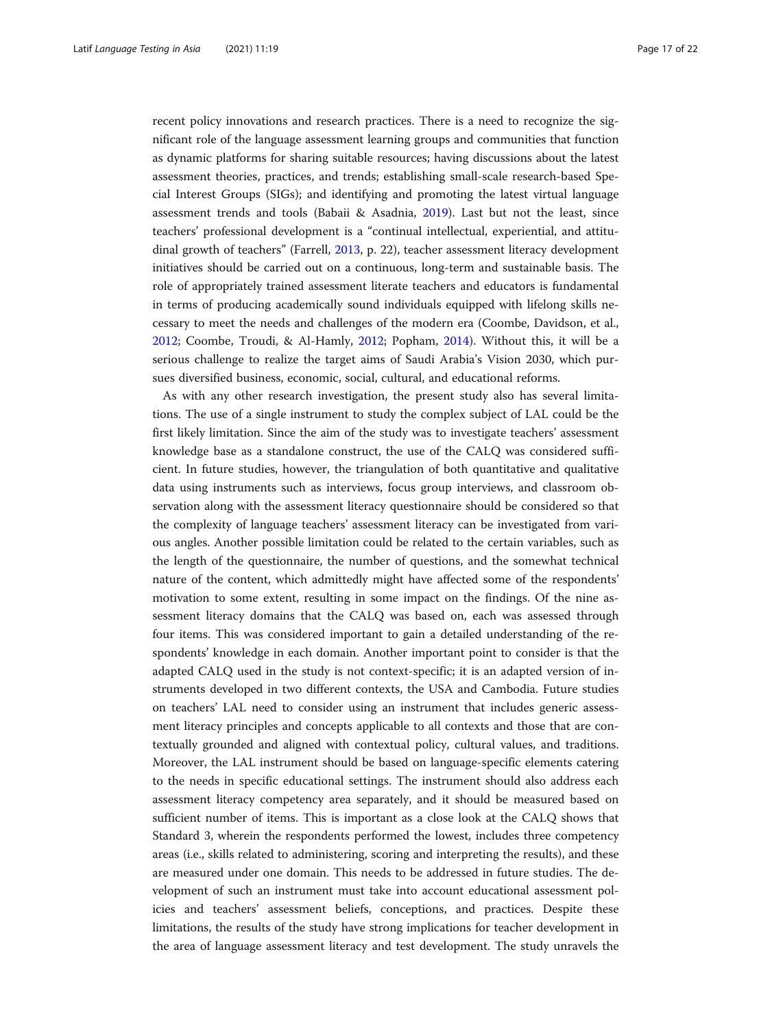recent policy innovations and research practices. There is a need to recognize the significant role of the language assessment learning groups and communities that function as dynamic platforms for sharing suitable resources; having discussions about the latest assessment theories, practices, and trends; establishing small-scale research-based Special Interest Groups (SIGs); and identifying and promoting the latest virtual language assessment trends and tools (Babaii & Asadnia, [2019\)](#page-19-0). Last but not the least, since teachers' professional development is a "continual intellectual, experiential, and attitudinal growth of teachers" (Farrell, [2013](#page-19-0), p. 22), teacher assessment literacy development initiatives should be carried out on a continuous, long-term and sustainable basis. The role of appropriately trained assessment literate teachers and educators is fundamental in terms of producing academically sound individuals equipped with lifelong skills necessary to meet the needs and challenges of the modern era (Coombe, Davidson, et al., [2012](#page-19-0); Coombe, Troudi, & Al-Hamly, [2012](#page-19-0); Popham, [2014](#page-21-0)). Without this, it will be a serious challenge to realize the target aims of Saudi Arabia's Vision 2030, which pursues diversified business, economic, social, cultural, and educational reforms.

As with any other research investigation, the present study also has several limitations. The use of a single instrument to study the complex subject of LAL could be the first likely limitation. Since the aim of the study was to investigate teachers' assessment knowledge base as a standalone construct, the use of the CALQ was considered sufficient. In future studies, however, the triangulation of both quantitative and qualitative data using instruments such as interviews, focus group interviews, and classroom observation along with the assessment literacy questionnaire should be considered so that the complexity of language teachers' assessment literacy can be investigated from various angles. Another possible limitation could be related to the certain variables, such as the length of the questionnaire, the number of questions, and the somewhat technical nature of the content, which admittedly might have affected some of the respondents' motivation to some extent, resulting in some impact on the findings. Of the nine assessment literacy domains that the CALQ was based on, each was assessed through four items. This was considered important to gain a detailed understanding of the respondents' knowledge in each domain. Another important point to consider is that the adapted CALQ used in the study is not context-specific; it is an adapted version of instruments developed in two different contexts, the USA and Cambodia. Future studies on teachers' LAL need to consider using an instrument that includes generic assessment literacy principles and concepts applicable to all contexts and those that are contextually grounded and aligned with contextual policy, cultural values, and traditions. Moreover, the LAL instrument should be based on language-specific elements catering to the needs in specific educational settings. The instrument should also address each assessment literacy competency area separately, and it should be measured based on sufficient number of items. This is important as a close look at the CALQ shows that Standard 3, wherein the respondents performed the lowest, includes three competency areas (i.e., skills related to administering, scoring and interpreting the results), and these are measured under one domain. This needs to be addressed in future studies. The development of such an instrument must take into account educational assessment policies and teachers' assessment beliefs, conceptions, and practices. Despite these limitations, the results of the study have strong implications for teacher development in the area of language assessment literacy and test development. The study unravels the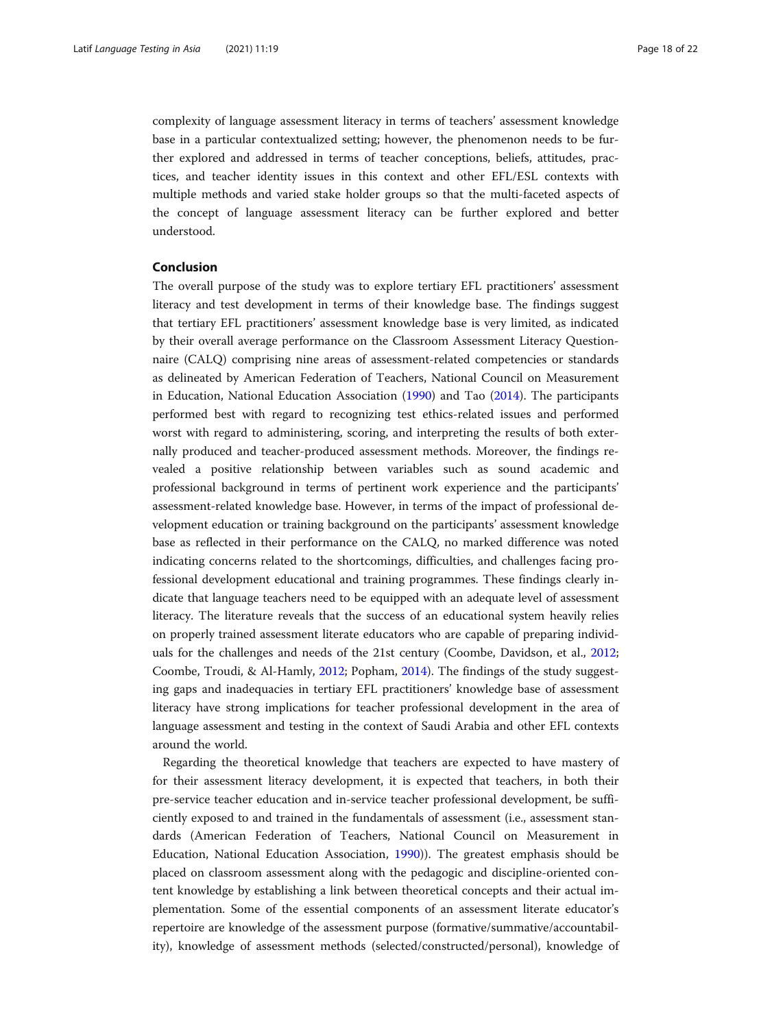complexity of language assessment literacy in terms of teachers' assessment knowledge base in a particular contextualized setting; however, the phenomenon needs to be further explored and addressed in terms of teacher conceptions, beliefs, attitudes, practices, and teacher identity issues in this context and other EFL/ESL contexts with multiple methods and varied stake holder groups so that the multi-faceted aspects of the concept of language assessment literacy can be further explored and better understood.

# Conclusion

The overall purpose of the study was to explore tertiary EFL practitioners' assessment literacy and test development in terms of their knowledge base. The findings suggest that tertiary EFL practitioners' assessment knowledge base is very limited, as indicated by their overall average performance on the Classroom Assessment Literacy Questionnaire (CALQ) comprising nine areas of assessment-related competencies or standards as delineated by American Federation of Teachers, National Council on Measurement in Education, National Education Association [\(1990](#page-19-0)) and Tao [\(2014\)](#page-21-0). The participants performed best with regard to recognizing test ethics-related issues and performed worst with regard to administering, scoring, and interpreting the results of both externally produced and teacher-produced assessment methods. Moreover, the findings revealed a positive relationship between variables such as sound academic and professional background in terms of pertinent work experience and the participants' assessment-related knowledge base. However, in terms of the impact of professional development education or training background on the participants' assessment knowledge base as reflected in their performance on the CALQ, no marked difference was noted indicating concerns related to the shortcomings, difficulties, and challenges facing professional development educational and training programmes. These findings clearly indicate that language teachers need to be equipped with an adequate level of assessment literacy. The literature reveals that the success of an educational system heavily relies on properly trained assessment literate educators who are capable of preparing individuals for the challenges and needs of the 21st century (Coombe, Davidson, et al., [2012](#page-19-0); Coombe, Troudi, & Al-Hamly, [2012;](#page-19-0) Popham, [2014\)](#page-21-0). The findings of the study suggesting gaps and inadequacies in tertiary EFL practitioners' knowledge base of assessment literacy have strong implications for teacher professional development in the area of language assessment and testing in the context of Saudi Arabia and other EFL contexts around the world.

Regarding the theoretical knowledge that teachers are expected to have mastery of for their assessment literacy development, it is expected that teachers, in both their pre-service teacher education and in-service teacher professional development, be sufficiently exposed to and trained in the fundamentals of assessment (i.e., assessment standards (American Federation of Teachers, National Council on Measurement in Education, National Education Association, [1990](#page-19-0))). The greatest emphasis should be placed on classroom assessment along with the pedagogic and discipline-oriented content knowledge by establishing a link between theoretical concepts and their actual implementation. Some of the essential components of an assessment literate educator's repertoire are knowledge of the assessment purpose (formative/summative/accountability), knowledge of assessment methods (selected/constructed/personal), knowledge of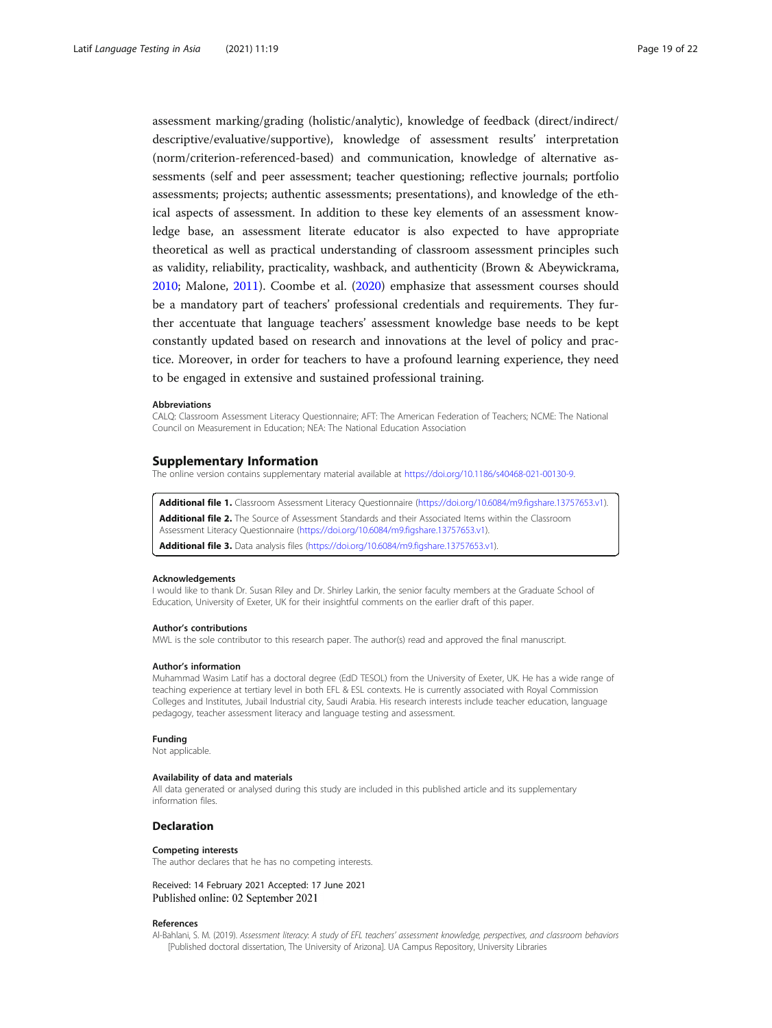<span id="page-18-0"></span>assessment marking/grading (holistic/analytic), knowledge of feedback (direct/indirect/ descriptive/evaluative/supportive), knowledge of assessment results' interpretation (norm/criterion-referenced-based) and communication, knowledge of alternative assessments (self and peer assessment; teacher questioning; reflective journals; portfolio assessments; projects; authentic assessments; presentations), and knowledge of the ethical aspects of assessment. In addition to these key elements of an assessment knowledge base, an assessment literate educator is also expected to have appropriate theoretical as well as practical understanding of classroom assessment principles such as validity, reliability, practicality, washback, and authenticity (Brown & Abeywickrama, [2010](#page-19-0); Malone, [2011\)](#page-20-0). Coombe et al. ([2020](#page-19-0)) emphasize that assessment courses should be a mandatory part of teachers' professional credentials and requirements. They further accentuate that language teachers' assessment knowledge base needs to be kept constantly updated based on research and innovations at the level of policy and practice. Moreover, in order for teachers to have a profound learning experience, they need to be engaged in extensive and sustained professional training.

#### Abbreviations

CALQ: Classroom Assessment Literacy Questionnaire; AFT: The American Federation of Teachers; NCME: The National Council on Measurement in Education; NEA: The National Education Association

#### Supplementary Information

The online version contains supplementary material available at [https://doi.org/10.1186/s40468-021-00130-9.](https://doi.org/10.1186/s40468-021-00130-9)

Additional file 1. Classroom Assessment Literacy Questionnaire (<https://doi.org/10.6084/m9.figshare.13757653.v1>). Additional file 2. The Source of Assessment Standards and their Associated Items within the Classroom Assessment Literacy Questionnaire [\(https://doi.org/10.6084/m9.figshare.13757653.v1\)](https://doi.org/10.6084/m9.figshare.13757653.v1). Additional file 3. Data analysis files (<https://doi.org/10.6084/m9.figshare.13757653.v1>).

#### Acknowledgements

I would like to thank Dr. Susan Riley and Dr. Shirley Larkin, the senior faculty members at the Graduate School of Education, University of Exeter, UK for their insightful comments on the earlier draft of this paper.

#### Author's contributions

MWL is the sole contributor to this research paper. The author(s) read and approved the final manuscript.

#### Author's information

Muhammad Wasim Latif has a doctoral degree (EdD TESOL) from the University of Exeter, UK. He has a wide range of teaching experience at tertiary level in both EFL & ESL contexts. He is currently associated with Royal Commission Colleges and Institutes, Jubail Industrial city, Saudi Arabia. His research interests include teacher education, language pedagogy, teacher assessment literacy and language testing and assessment.

#### Funding

Not applicable.

#### Availability of data and materials

All data generated or analysed during this study are included in this published article and its supplementary information files.

#### Declaration

#### Competing interests

The author declares that he has no competing interests.

#### Received: 14 February 2021 Accepted: 17 June 2021 Published online: 02 September 2021

#### References

Al-Bahlani, S. M. (2019). Assessment literacy: A study of EFL teachers' assessment knowledge, perspectives, and classroom behaviors [Published doctoral dissertation, The University of Arizona]. UA Campus Repository, University Libraries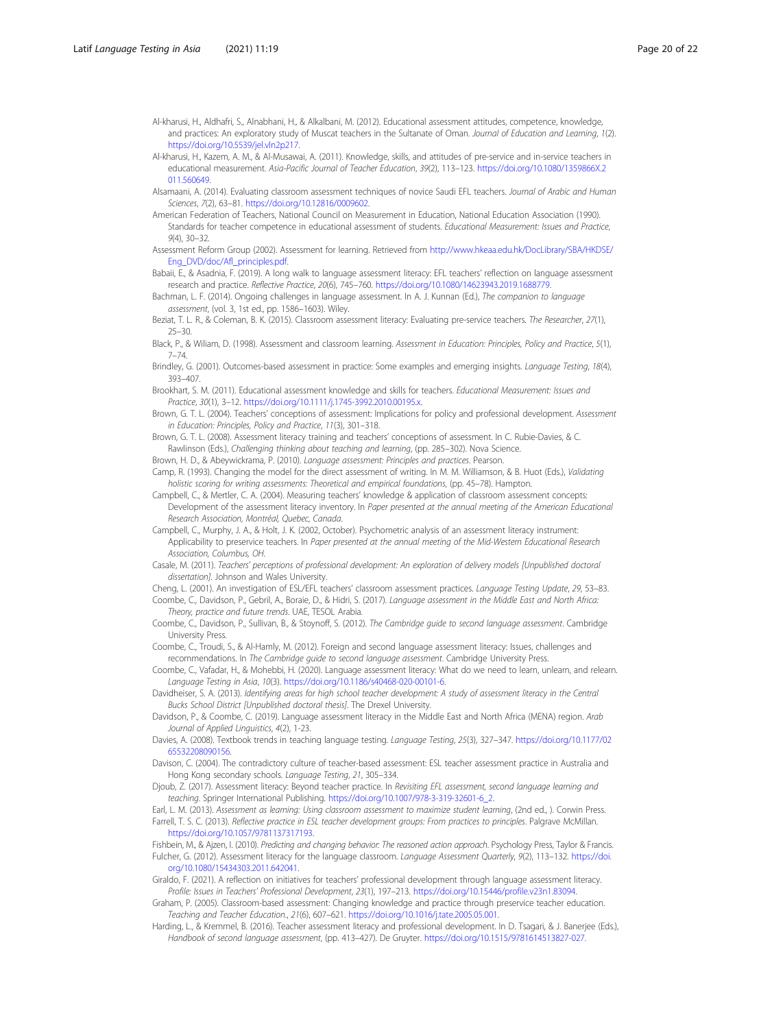- <span id="page-19-0"></span>Al-kharusi, H., Aldhafri, S., Alnabhani, H., & Alkalbani, M. (2012). Educational assessment attitudes, competence, knowledge, and practices: An exploratory study of Muscat teachers in the Sultanate of Oman. Journal of Education and Learning, 1(2). <https://doi.org/10.5539/jel.vln2p217>.
- Al-kharusi, H., Kazem, A. M., & Al-Musawai, A. (2011). Knowledge, skills, and attitudes of pre-service and in-service teachers in educational measurement. Asia-Pacific Journal of Teacher Education, 39(2), 113-123. [https://doi.org/10.1080/1359866X.2](https://doi.org/10.1080/1359866X.2011.560649) [011.560649.](https://doi.org/10.1080/1359866X.2011.560649)
- Alsamaani, A. (2014). Evaluating classroom assessment techniques of novice Saudi EFL teachers. Journal of Arabic and Human Sciences, 7(2), 63–81. <https://doi.org/10.12816/0009602>.
- American Federation of Teachers, National Council on Measurement in Education, National Education Association (1990). Standards for teacher competence in educational assessment of students. Educational Measurement: Issues and Practice, 9(4), 30–32.
- Assessment Reform Group (2002). Assessment for learning. Retrieved from [http://www.hkeaa.edu.hk/DocLibrary/SBA/HKDSE/](http://www.hkeaa.edu.hk/DocLibrary/SBA/HKDSE/Eng_DVD/doc/Afl_principles.pdf) [Eng\\_DVD/doc/Afl\\_principles.pdf](http://www.hkeaa.edu.hk/DocLibrary/SBA/HKDSE/Eng_DVD/doc/Afl_principles.pdf).
- Babaii, E., & Asadnia, F. (2019). A long walk to language assessment literacy: EFL teachers' reflection on language assessment research and practice. Reflective Practice, 20(6), 745–760. <https://doi.org/10.1080/14623943.2019.1688779>.
- Bachman, L. F. (2014). Ongoing challenges in language assessment. In A. J. Kunnan (Ed.), The companion to language assessment, (vol. 3, 1st ed., pp. 1586–1603). Wiley.
- Beziat, T. L. R., & Coleman, B. K. (2015). Classroom assessment literacy: Evaluating pre-service teachers. The Researcher, 27(1), 25–30.
- Black, P., & Wiliam, D. (1998). Assessment and classroom learning. Assessment in Education: Principles, Policy and Practice, 5(1), 7–74.
- Brindley, G. (2001). Outcomes-based assessment in practice: Some examples and emerging insights. Language Testing, 18(4), 393–407.
- Brookhart, S. M. (2011). Educational assessment knowledge and skills for teachers. Educational Measurement: Issues and Practice, 30(1), 3–12. [https://doi.org/10.1111/j.1745-3992.2010.00195.x.](https://doi.org/10.1111/j.1745-3992.2010.00195.x)
- Brown, G. T. L. (2004). Teachers' conceptions of assessment: Implications for policy and professional development. Assessment in Education: Principles, Policy and Practice, 11(3), 301–318.
- Brown, G. T. L. (2008). Assessment literacy training and teachers' conceptions of assessment. In C. Rubie-Davies, & C. Rawlinson (Eds.), Challenging thinking about teaching and learning, (pp. 285–302). Nova Science.
- Brown, H. D., & Abeywickrama, P. (2010). Language assessment: Principles and practices. Pearson.
- Camp, R. (1993). Changing the model for the direct assessment of writing. In M. M. Williamson, & B. Huot (Eds.), Validating holistic scoring for writing assessments: Theoretical and empirical foundations, (pp. 45–78). Hampton.
- Campbell, C., & Mertler, C. A. (2004). Measuring teachers' knowledge & application of classroom assessment concepts: Development of the assessment literacy inventory. In Paper presented at the annual meeting of the American Educational Research Association, Montréal, Quebec, Canada.
- Campbell, C., Murphy, J. A., & Holt, J. K. (2002, October). Psychometric analysis of an assessment literacy instrument: Applicability to preservice teachers. In Paper presented at the annual meeting of the Mid-Western Educational Research Association, Columbus, OH.
- Casale, M. (2011). Teachers' perceptions of professional development: An exploration of delivery models [Unpublished doctoral dissertation]. Johnson and Wales University.
- Cheng, L. (2001). An investigation of ESL/EFL teachers' classroom assessment practices. Language Testing Update, 29, 53–83. Coombe, C., Davidson, P., Gebril, A., Boraie, D., & Hidri, S. (2017). Language assessment in the Middle East and North Africa: Theory, practice and future trends. UAE, TESOL Arabia.
- Coombe, C., Davidson, P., Sullivan, B., & Stoynoff, S. (2012). The Cambridge guide to second language assessment. Cambridge University Press.
- Coombe, C., Troudi, S., & Al-Hamly, M. (2012). Foreign and second language assessment literacy: Issues, challenges and recommendations. In The Cambridge guide to second language assessment. Cambridge University Press.
- Coombe, C., Vafadar, H., & Mohebbi, H. (2020). Language assessment literacy: What do we need to learn, unlearn, and relearn. Language Testing in Asia, 10(3). [https://doi.org/10.1186/s40468-020-00101-6.](https://doi.org/10.1186/s40468-020-00101-6)
- Davidheiser, S. A. (2013). Identifying areas for high school teacher development: A study of assessment literacy in the Central Bucks School District [Unpublished doctoral thesis]. The Drexel University.
- Davidson, P., & Coombe, C. (2019). Language assessment literacy in the Middle East and North Africa (MENA) region. Arab Journal of Applied Linguistics, 4(2), 1-23.
- Davies, A. (2008). Textbook trends in teaching language testing. Language Testing, 25(3), 327–347. [https://doi.org/10.1177/02](https://doi.org/10.1177/0265532208090156) [65532208090156](https://doi.org/10.1177/0265532208090156).
- Davison, C. (2004). The contradictory culture of teacher-based assessment: ESL teacher assessment practice in Australia and Hong Kong secondary schools. Language Testing, 21, 305–334.
- Djoub, Z. (2017). Assessment literacy: Beyond teacher practice. In Revisiting EFL assessment, second language learning and teaching. Springer International Publishing. [https://doi.org/10.1007/978-3-319-32601-6\\_2](https://doi.org/10.1007/978-3-319-32601-6_2).
- Earl, L. M. (2013). Assessment as learning: Using classroom assessment to maximize student learning, (2nd ed., ). Corwin Press. Farrell, T. S. C. (2013). Reflective practice in ESL teacher development groups: From practices to principles. Palgrave McMillan. <https://doi.org/10.1057/9781137317193>.
- Fishbein, M., & Ajzen, I. (2010). Predicting and changing behavior: The reasoned action approach. Psychology Press, Taylor & Francis. Fulcher, G. (2012). Assessment literacy for the language classroom. Language Assessment Quarterly, 9(2), 113–132. [https://doi.](https://doi.org/10.1080/15434303.2011.642041) [org/10.1080/15434303.2011.642041.](https://doi.org/10.1080/15434303.2011.642041)
- Giraldo, F. (2021). A reflection on initiatives for teachers' professional development through language assessment literacy. Profile: Issues in Teachers' Professional Development, 23(1), 197–213. <https://doi.org/10.15446/profile.v23n1.83094>.
- Graham, P. (2005). Classroom-based assessment: Changing knowledge and practice through preservice teacher education. Teaching and Teacher Education., 21(6), 607–621. <https://doi.org/10.1016/j.tate.2005.05.001>.
- Harding, L., & Kremmel, B. (2016). Teacher assessment literacy and professional development. In D. Tsagari, & J. Banerjee (Eds.), Handbook of second language assessment, (pp. 413–427). De Gruyter. <https://doi.org/10.1515/9781614513827-027>.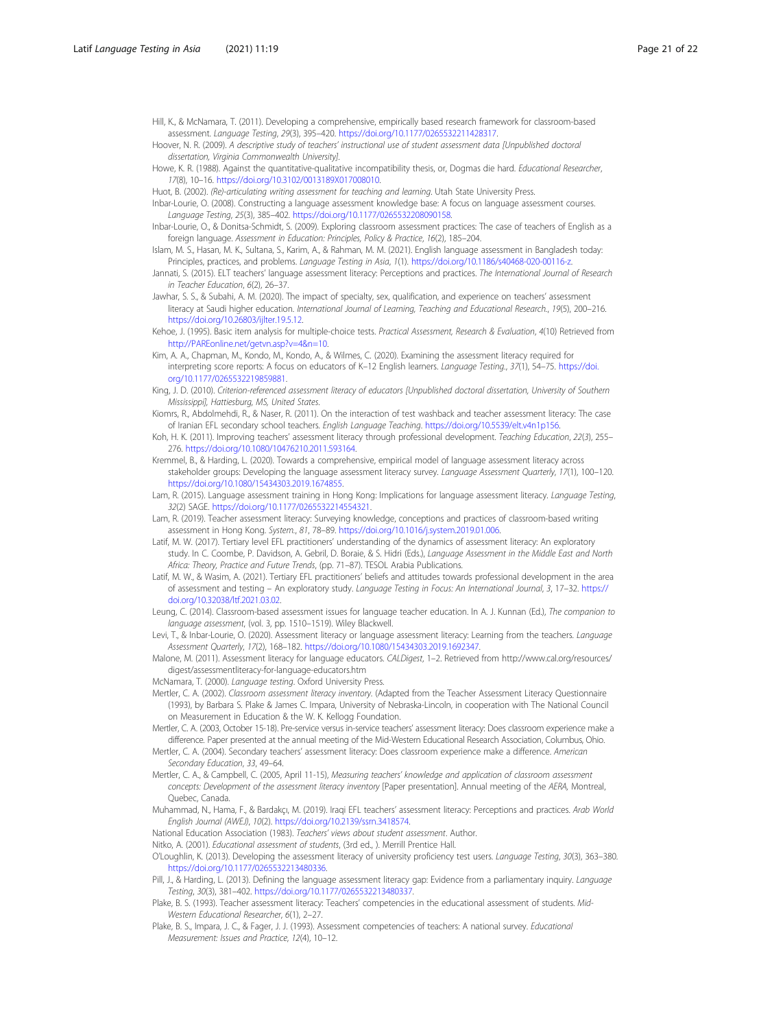- <span id="page-20-0"></span>Hill, K., & McNamara, T. (2011). Developing a comprehensive, empirically based research framework for classroom-based assessment. Language Testing, 29(3), 395–420. <https://doi.org/10.1177/0265532211428317>.
- Hoover, N. R. (2009). A descriptive study of teachers' instructional use of student assessment data [Unpublished doctoral dissertation, Virginia Commonwealth University].

Howe, K. R. (1988). Against the quantitative-qualitative incompatibility thesis, or, Dogmas die hard. Educational Researcher, 17(8), 10–16. [https://doi.org/10.3102/0013189X017008010.](https://doi.org/10.3102/0013189X017008010)

Huot, B. (2002). (Re)-articulating writing assessment for teaching and learning. Utah State University Press.

Inbar-Lourie, O. (2008). Constructing a language assessment knowledge base: A focus on language assessment courses. Language Testing, 25(3), 385–402. [https://doi.org/10.1177/0265532208090158.](https://doi.org/10.1177/0265532208090158)

- Inbar-Lourie, O., & Donitsa-Schmidt, S. (2009). Exploring classroom assessment practices: The case of teachers of English as a foreign language. Assessment in Education: Principles, Policy & Practice, 16(2), 185–204.
- Islam, M. S., Hasan, M. K., Sultana, S., Karim, A., & Rahman, M. M. (2021). English language assessment in Bangladesh today: Principles, practices, and problems. Language Testing in Asia, 1(1). [https://doi.org/10.1186/s40468-020-00116-z.](https://doi.org/10.1186/s40468-020-00116-z)
- Jannati, S. (2015). ELT teachers' language assessment literacy: Perceptions and practices. The International Journal of Research in Teacher Education, 6(2), 26–37.
- Jawhar, S. S., & Subahi, A. M. (2020). The impact of specialty, sex, qualification, and experience on teachers' assessment literacy at Saudi higher education. International Journal of Learning, Teaching and Educational Research., 19(5), 200–216. <https://doi.org/10.26803/ijlter.19.5.12>.
- Kehoe, J. (1995). Basic item analysis for multiple-choice tests. Practical Assessment, Research & Evaluation, 4(10) Retrieved from [http://PAREonline.net/getvn.asp?v=4&n=10](http://pareonline.net/getvn.asp?v=4&n=10).
- Kim, A. A., Chapman, M., Kondo, M., Kondo, A., & Wilmes, C. (2020). Examining the assessment literacy required for interpreting score reports: A focus on educators of K–12 English learners. Language Testing., 37(1), 54–75. [https://doi.](https://doi.org/10.1177/0265532219859881) [org/10.1177/0265532219859881.](https://doi.org/10.1177/0265532219859881)
- King, J. D. (2010). Criterion-referenced assessment literacy of educators [Unpublished doctoral dissertation, University of Southern Mississippi], Hattiesburg, MS, United States.
- Kiomrs, R., Abdolmehdi, R., & Naser, R. (2011). On the interaction of test washback and teacher assessment literacy: The case of Iranian EFL secondary school teachers. English Language Teaching. <https://doi.org/10.5539/elt.v4n1p156>.
- Koh, H. K. (2011). Improving teachers' assessment literacy through professional development. Teaching Education, 22(3), 255-276. <https://doi.org/10.1080/10476210.2011.593164>.
- Kremmel, B., & Harding, L. (2020). Towards a comprehensive, empirical model of language assessment literacy across stakeholder groups: Developing the language assessment literacy survey. Language Assessment Quarterly, 17(1), 100-120. <https://doi.org/10.1080/15434303.2019.1674855>.
- Lam, R. (2015). Language assessment training in Hong Kong: Implications for language assessment literacy. Language Testing, 32(2) SAGE. [https://doi.org/10.1177/0265532214554321.](https://doi.org/10.1177/0265532214554321)
- Lam, R. (2019). Teacher assessment literacy: Surveying knowledge, conceptions and practices of classroom-based writing assessment in Hong Kong. System., 81, 78–89. <https://doi.org/10.1016/j.system.2019.01.006>.
- Latif, M. W. (2017). Tertiary level EFL practitioners' understanding of the dynamics of assessment literacy: An exploratory study. In C. Coombe, P. Davidson, A. Gebril, D. Boraie, & S. Hidri (Eds.), Language Assessment in the Middle East and North Africa: Theory, Practice and Future Trends, (pp. 71–87). TESOL Arabia Publications.
- Latif, M. W., & Wasim, A. (2021). Tertiary EFL practitioners' beliefs and attitudes towards professional development in the area of assessment and testing – An exploratory study. Language Testing in Focus: An International Journal, 3, 17–32. [https://](https://doi.org/10.32038/ltf.2021.03.02) [doi.org/10.32038/ltf.2021.03.02](https://doi.org/10.32038/ltf.2021.03.02).

Leung, C. (2014). Classroom-based assessment issues for language teacher education. In A. J. Kunnan (Ed.), The companion to language assessment, (vol. 3, pp. 1510–1519). Wiley Blackwell.

- Levi, T., & Inbar-Lourie, O. (2020). Assessment literacy or language assessment literacy: Learning from the teachers. Language Assessment Quarterly, 17(2), 168–182. [https://doi.org/10.1080/15434303.2019.1692347.](https://doi.org/10.1080/15434303.2019.1692347)
- Malone, M. (2011). Assessment literacy for language educators. CALDigest, 1–2. Retrieved from http://www.cal.org/resources/ digest/assessmentliteracy-for-language-educators.htm

McNamara, T. (2000). Language testing. Oxford University Press.

Mertler, C. A. (2002). Classroom assessment literacy inventory. (Adapted from the Teacher Assessment Literacy Questionnaire (1993), by Barbara S. Plake & James C. Impara, University of Nebraska-Lincoln, in cooperation with The National Council on Measurement in Education & the W. K. Kellogg Foundation.

- Mertler, C. A. (2003, October 15-18). Pre-service versus in-service teachers' assessment literacy: Does classroom experience make a difference. Paper presented at the annual meeting of the Mid-Western Educational Research Association, Columbus, Ohio.
- Mertler, C. A. (2004). Secondary teachers' assessment literacy: Does classroom experience make a difference. American Secondary Education, 33, 49–64.
- Mertler, C. A., & Campbell, C. (2005, April 11-15), Measuring teachers' knowledge and application of classroom assessment concepts: Development of the assessment literacy inventory [Paper presentation]. Annual meeting of the AERA, Montreal, Quebec, Canada.
- Muhammad, N., Hama, F., & Bardakçı, M. (2019). Iraqi EFL teachers' assessment literacy: Perceptions and practices. Arab World English Journal (AWEJ), 10(2). [https://doi.org/10.2139/ssrn.3418574.](https://doi.org/10.2139/ssrn.3418574)

National Education Association (1983). Teachers' views about student assessment. Author.

- Nitko, A. (2001). Educational assessment of students, (3rd ed., ). Merrill Prentice Hall.
- O'Loughlin, K. (2013). Developing the assessment literacy of university proficiency test users. Language Testing, 30(3), 363–380. <https://doi.org/10.1177/0265532213480336>.
- Pill, J., & Harding, L. (2013). Defining the language assessment literacy gap: Evidence from a parliamentary inquiry. Language Testing, 30(3), 381–402. <https://doi.org/10.1177/0265532213480337>.
- Plake, B. S. (1993). Teacher assessment literacy: Teachers' competencies in the educational assessment of students. Mid-Western Educational Researcher, 6(1), 2–27.
- Plake, B. S., Impara, J. C., & Fager, J. J. (1993). Assessment competencies of teachers: A national survey. Educational Measurement: Issues and Practice, 12(4), 10–12.